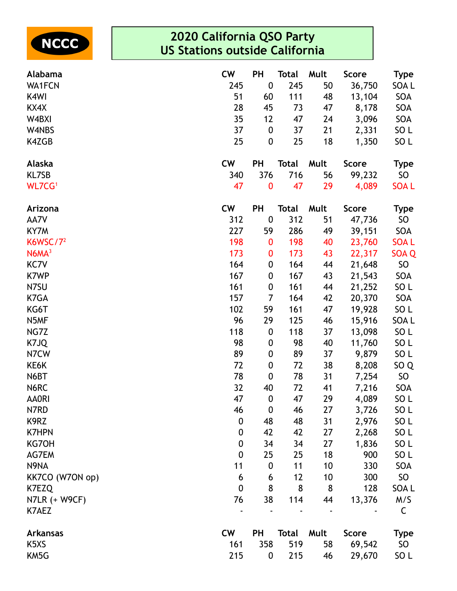

| Alabama                       | <b>CW</b> | <b>PH</b>        | Total        | Mult | <b>Score</b> | <b>Type</b>     |
|-------------------------------|-----------|------------------|--------------|------|--------------|-----------------|
| <b>WA1FCN</b>                 | 245       | $\boldsymbol{0}$ | 245          | 50   | 36,750       | SOA L           |
| K4WI                          | 51        | 60               | 111          | 48   | 13,104       | SOA             |
| KX4X                          | 28        | 45               | 73           | 47   | 8,178        | SOA             |
| W4BXI                         | 35        | 12               | 47           | 24   | 3,096        | SOA             |
| W4NBS                         | 37        | $\boldsymbol{0}$ | 37           | 21   | 2,331        | SO <sub>L</sub> |
| K4ZGB                         | 25        | $\boldsymbol{0}$ | 25           | 18   | 1,350        | SO <sub>L</sub> |
| Alaska                        | <b>CW</b> | <b>PH</b>        | <b>Total</b> | Mult | <b>Score</b> | <b>Type</b>     |
| <b>KL7SB</b>                  | 340       | 376              | 716          | 56   | 99,232       | SO              |
| WL7CG <sup>1</sup>            | 47        | $\bf{0}$         | 47           | 29   | 4,089        | <b>SOAL</b>     |
| Arizona                       | <b>CW</b> | <b>PH</b>        | Total        | Mult | <b>Score</b> | <b>Type</b>     |
| AA7V                          | 312       | $\boldsymbol{0}$ | 312          | 51   | 47,736       | SO              |
| KY7M                          | 227       | 59               | 286          | 49   | 39,151       | SOA             |
| K6WSC/ $7^2$                  | 198       | $\bf{0}$         | 198          | 40   | 23,760       | <b>SOAL</b>     |
| N6MA <sup>3</sup>             | 173       | $\bf{0}$         | 173          | 43   | 22,317       | SOA Q           |
| KC7V                          | 164       | $\boldsymbol{0}$ | 164          | 44   | 21,648       | <b>SO</b>       |
| K7WP                          | 167       | $\boldsymbol{0}$ | 167          | 43   | 21,543       | SOA             |
| N7SU                          | 161       | $\boldsymbol{0}$ | 161          | 44   | 21,252       | SO <sub>L</sub> |
| K7GA                          | 157       | 7                | 164          | 42   | 20,370       | SOA             |
| KG6T                          | 102       | 59               | 161          | 47   | 19,928       | SO <sub>L</sub> |
| N5MF                          | 96        | 29               | 125          | 46   | 15,916       | SOA L           |
| NG7Z                          | 118       | $\boldsymbol{0}$ | 118          | 37   | 13,098       | SO <sub>L</sub> |
| K7JQ                          | 98        | $\boldsymbol{0}$ | 98           | 40   | 11,760       | SO L            |
| N7CW                          | 89        | $\boldsymbol{0}$ | 89           | 37   | 9,879        | SO <sub>L</sub> |
| KE6K                          | 72        | $\boldsymbol{0}$ | 72           | 38   | 8,208        | SO <sub>Q</sub> |
| N6BT                          | 78        | $\boldsymbol{0}$ | 78           | 31   | 7,254        | <b>SO</b>       |
| N6RC                          | 32        | 40               | 72           | 41   | 7,216        | SOA             |
| <b>AA0RI</b>                  | 47        | $\boldsymbol{0}$ | 47           | 29   | 4,089        | SO <sub>L</sub> |
| N7RD                          | 46        | $\boldsymbol{0}$ | 46           | 27   | 3,726        | SO L            |
| K9RZ                          | 0         | 48               | 48           | 31   | 2,976        | SO <sub>L</sub> |
| <b>K7HPN</b>                  | 0         | 42               | 42           | 27   | 2,268        | SO <sub>L</sub> |
| KG70H                         | 0         | 34               | 34           | 27   | 1,836        | SO <sub>L</sub> |
| AG7EM                         | 0         | 25               | 25           | 18   | 900          | SO <sub>L</sub> |
| N9NA                          | 11        | $\boldsymbol{0}$ | 11           | 10   | 330          | SOA             |
| KK7CO (W7ON op)               | 6         | 6                | 12           | 10   | 300          | SO              |
| K7EZQ                         | 0         | 8                | 8            | 8    | 128          | SOA L           |
| N7LR (+ W9CF)                 | 76        | 38               | 114          | 44   | 13,376       | M/S             |
| K7AEZ                         |           |                  |              |      |              | C               |
| <b>Arkansas</b>               | <b>CW</b> | <b>PH</b>        | Total        | Mult | <b>Score</b> | <b>Type</b>     |
| K <sub>5</sub> X <sub>S</sub> | 161       | 358              | 519          | 58   | 69,542       | SO              |
| KM5G                          | 215       | 0                | 215          | 46   | 29,670       | SO <sub>L</sub> |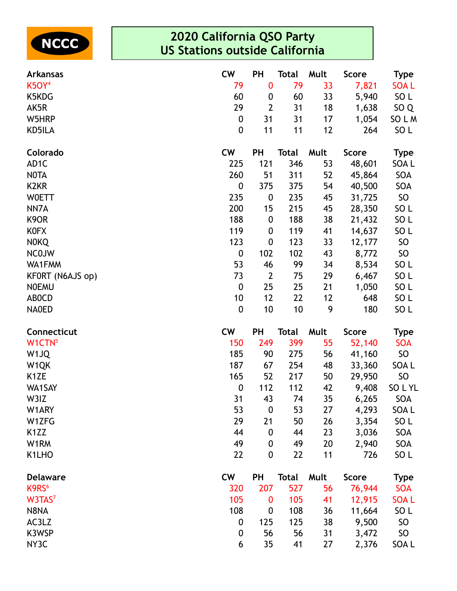

| <b>Arkansas</b>    | <b>CW</b>        | <b>PH</b>        | <b>Total</b> | Mult | <b>Score</b> | <b>Type</b>     |
|--------------------|------------------|------------------|--------------|------|--------------|-----------------|
| <b>K5OY4</b>       | 79               | 0                | 79           | 33   | 7,821        | <b>SOAL</b>     |
| K5KDG              | 60               | 0                | 60           | 33   | 5,940        | SO <sub>L</sub> |
| AK5R               | 29               | $\overline{2}$   | 31           | 18   | 1,638        | SO <sub>Q</sub> |
| W5HRP              | 0                | 31               | 31           | 17   | 1,054        | SO L M          |
| KD5ILA             | $\boldsymbol{0}$ | 11               | 11           | 12   | 264          | SO <sub>L</sub> |
| Colorado           | <b>CW</b>        | <b>PH</b>        | <b>Total</b> | Mult | <b>Score</b> | <b>Type</b>     |
| AD <sub>1</sub> C  | 225              | 121              | 346          | 53   | 48,601       | SOA L           |
| <b>NOTA</b>        | 260              | 51               | 311          | 52   | 45,864       | SOA             |
| K <sub>2</sub> KR  | 0                | 375              | 375          | 54   | 40,500       | SOA             |
| <b>WOETT</b>       | 235              | 0                | 235          | 45   | 31,725       | SO              |
| NN7A               | 200              | 15               | 215          | 45   | 28,350       | SO <sub>L</sub> |
| K <sub>9</sub> OR  | 188              | $\boldsymbol{0}$ | 188          | 38   | 21,432       | SO <sub>L</sub> |
| <b>KOFX</b>        | 119              | 0                | 119          | 41   | 14,637       | SO <sub>L</sub> |
| <b>NOKQ</b>        | 123              | 0                | 123          | 33   | 12,177       | <b>SO</b>       |
| <b>NCOJW</b>       | $\boldsymbol{0}$ | 102              | 102          | 43   | 8,772        | SO              |
| WA1FMM             | 53               | 46               | 99           | 34   | 8,534        | SO <sub>L</sub> |
| KFORT (N6AJS op)   | 73               | $\overline{2}$   | 75           | 29   | 6,467        | SO <sub>L</sub> |
| <b>NOEMU</b>       | $\boldsymbol{0}$ | 25               | 25           | 21   | 1,050        | SO <sub>L</sub> |
| <b>ABOCD</b>       | 10               | 12               | 22           | 12   | 648          | SO <sub>L</sub> |
| <b>NAOED</b>       | $\mathbf 0$      | 10               | 10           | 9    | 180          | SO <sub>L</sub> |
| Connecticut        | <b>CW</b>        | <b>PH</b>        | <b>Total</b> | Mult | <b>Score</b> | <b>Type</b>     |
| W1CTN <sup>5</sup> | 150              | 249              | 399          | 55   | 52,140       | <b>SOA</b>      |
| W <sub>1JQ</sub>   | 185              | 90               | 275          | 56   | 41,160       | SO              |
| W <sub>1</sub> QK  | 187              | 67               | 254          | 48   | 33,360       | SOA L           |
| K <sub>1</sub> ZE  | 165              | 52               | 217          | 50   | 29,950       | SO              |
| WA1SAY             | $\boldsymbol{0}$ | 112              | 112          | 42   | 9,408        | SOLYL           |
| W3IZ               | 31               | 43               | 74           | 35   | 6,265        | SOA             |
| W1ARY              | 53               | $\boldsymbol{0}$ | 53           | 27   | 4,293        | SOA L           |
| W1ZFG              | 29               | 21               | 50           | 26   | 3,354        | SO <sub>L</sub> |
| K <sub>1</sub> ZZ  | 44               | $\boldsymbol{0}$ | 44           | 23   | 3,036        | SOA             |
| W1RM               | 49               | 0                | 49           | 20   | 2,940        | SOA             |
| K1LHO              | 22               | 0                | 22           | 11   | 726          | SO <sub>L</sub> |
| <b>Delaware</b>    | <b>CW</b>        | <b>PH</b>        | <b>Total</b> | Mult | <b>Score</b> | <b>Type</b>     |
| K9RS <sup>6</sup>  | 320              | 207              | 527          | 56   | 76,944       | <b>SOA</b>      |
| W3TAS <sup>7</sup> | 105              | $\bf{0}$         | 105          | 41   | 12,915       | <b>SOAL</b>     |
| N8NA               | 108              | 0                | 108          | 36   | 11,664       | SO <sub>L</sub> |
| AC3LZ              | 0                | 125              | 125          | 38   | 9,500        | SO              |
| K3WSP              | 0                | 56               | 56           | 31   | 3,472        | <b>SO</b>       |
| NY3C               | 6                | 35               | 41           | 27   | 2,376        | SOA L           |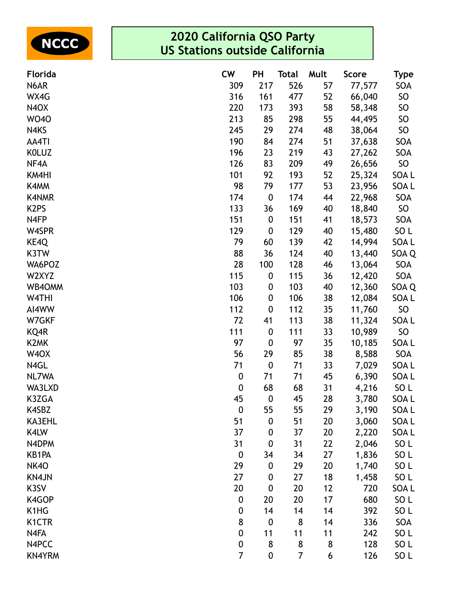

| Florida                       | <b>CW</b>        | <b>PH</b>        | Total          | Mult | <b>Score</b> | <b>Type</b>     |
|-------------------------------|------------------|------------------|----------------|------|--------------|-----------------|
| N6AR                          | 309              | 217              | 526            | 57   | 77,577       | SOA             |
| WX4G                          | 316              | 161              | 477            | 52   | 66,040       | SO              |
| N <sub>4</sub> O <sub>X</sub> | 220              | 173              | 393            | 58   | 58,348       | <b>SO</b>       |
| <b>WO40</b>                   | 213              | 85               | 298            | 55   | 44,495       | SO              |
| N4KS                          | 245              | 29               | 274            | 48   | 38,064       | SO              |
| AA4TI                         | 190              | 84               | 274            | 51   | 37,638       | SOA             |
| <b>KOLUZ</b>                  | 196              | 23               | 219            | 43   | 27,262       | SOA             |
| NF4A                          | 126              | 83               | 209            | 49   | 26,656       | SO              |
| KM4HI                         | 101              | 92               | 193            | 52   | 25,324       | SOA L           |
| K4MM                          | 98               | 79               | 177            | 53   | 23,956       | SOA L           |
| <b>K4NMR</b>                  | 174              | $\boldsymbol{0}$ | 174            | 44   | 22,968       | SOA             |
| K <sub>2</sub> PS             | 133              | 36               | 169            | 40   | 18,840       | SO              |
| N4FP                          | 151              | $\boldsymbol{0}$ | 151            | 41   | 18,573       | SOA             |
| W4SPR                         | 129              | $\boldsymbol{0}$ | 129            | 40   | 15,480       | SO L            |
| KE4Q                          | 79               | 60               | 139            | 42   | 14,994       | SOA L           |
| K3TW                          | 88               | 36               | 124            | 40   | 13,440       | SOA Q           |
| WA6POZ                        | 28               | 100              | 128            | 46   | 13,064       | SOA             |
| W2XYZ                         | 115              | $\boldsymbol{0}$ | 115            | 36   | 12,420       | SOA             |
| WB40MM                        | 103              | 0                | 103            | 40   | 12,360       | SOA Q           |
| W4THI                         | 106              | $\boldsymbol{0}$ | 106            | 38   | 12,084       | SOA L           |
| AI4WW                         | 112              | $\boldsymbol{0}$ | 112            | 35   | 11,760       | SO              |
| W7GKF                         | 72               | 41               | 113            | 38   | 11,324       | SOA L           |
| KQ4R                          | 111              | $\boldsymbol{0}$ | 111            | 33   | 10,989       | SO              |
| K <sub>2</sub> MK             | 97               | $\boldsymbol{0}$ | 97             | 35   | 10,185       | SOA L           |
| W <sub>4</sub> OX             | 56               | 29               | 85             | 38   | 8,588        | SOA             |
| N4GL                          | 71               | $\boldsymbol{0}$ | 71             | 33   | 7,029        | SOA L           |
| NL7WA                         | $\boldsymbol{0}$ | 71               | 71             | 45   | 6,390        | SOA L           |
| WA3LXD                        | $\boldsymbol{0}$ | 68               | 68             | 31   | 4,216        | SO L            |
| K3ZGA                         | 45               | $\boldsymbol{0}$ | 45             | 28   | 3,780        | SOA L           |
| K4SBZ                         | $\boldsymbol{0}$ | 55               | 55             | 29   | 3,190        | SOA L           |
| <b>KA3EHL</b>                 | 51               | $\boldsymbol{0}$ | 51             | 20   | 3,060        | SOA L           |
| K4LW                          | 37               | $\boldsymbol{0}$ | 37             | 20   | 2,220        | SOA L           |
| N4DPM                         | 31               | $\boldsymbol{0}$ | 31             | 22   | 2,046        | SO <sub>L</sub> |
| KB1PA                         | $\boldsymbol{0}$ | 34               | 34             | 27   | 1,836        | SO <sub>L</sub> |
| <b>NK40</b>                   | 29               | $\boldsymbol{0}$ | 29             | 20   | 1,740        | SO <sub>L</sub> |
| <b>KN4JN</b>                  | 27               | $\boldsymbol{0}$ | 27             | 18   | 1,458        | SO <sub>L</sub> |
| K3SV                          | 20               | $\boldsymbol{0}$ | 20             | 12   | 720          | SOA L           |
| K4GOP                         | $\boldsymbol{0}$ | 20               | 20             | 17   | 680          | SO <sub>L</sub> |
| K1HG                          | 0                | 14               | 14             | 14   | 392          | SO <sub>L</sub> |
| K <sub>1</sub> CTR            | 8                | $\boldsymbol{0}$ | 8              | 14   | 336          | SOA             |
| N4FA                          | 0                | 11               | 11             | 11   | 242          | SO <sub>L</sub> |
| N4PCC                         | 0                | 8                | 8              | 8    | 128          | SO L            |
| KN4YRM                        | $\overline{7}$   | $\pmb{0}$        | $\overline{7}$ | 6    | 126          | SO <sub>L</sub> |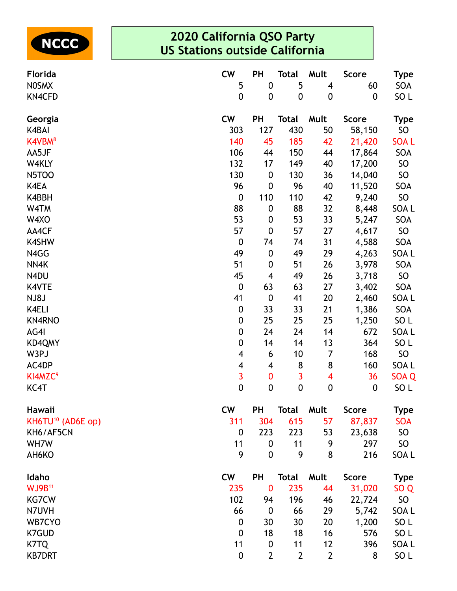

| Florida                       | <b>CW</b>               | PH               | <b>Total</b>     | Mult                    | <b>Score</b>     | <b>Type</b>      |
|-------------------------------|-------------------------|------------------|------------------|-------------------------|------------------|------------------|
| <b>NOSMX</b>                  | 5                       | $\boldsymbol{0}$ | 5                | $\overline{\mathbf{4}}$ | 60               | SOA              |
| <b>KN4CFD</b>                 | $\boldsymbol{0}$        | $\boldsymbol{0}$ | $\boldsymbol{0}$ | $\boldsymbol{0}$        | $\boldsymbol{0}$ | SO <sub>L</sub>  |
| Georgia                       | <b>CW</b>               | PH               | <b>Total</b>     | Mult                    | <b>Score</b>     | <b>Type</b>      |
| K4BAI                         | 303                     | 127              | 430              | 50                      | 58,150           | SO <sub>1</sub>  |
| K4VBM <sup>8</sup>            | 140                     | 45               | 185              | 42                      | 21,420           | <b>SOAL</b>      |
| AA5JF                         | 106                     | 44               | 150              | 44                      | 17,864           | SOA              |
| W4KLY                         | 132                     | 17               | 149              | 40                      | 17,200           | SO               |
| <b>N5TOO</b>                  | 130                     | $\boldsymbol{0}$ | 130              | 36                      | 14,040           | SO               |
| K4EA                          | 96                      | $\boldsymbol{0}$ | 96               | 40                      | 11,520           | SOA              |
| K4BBH                         | $\boldsymbol{0}$        | 110              | 110              | 42                      | 9,240            | SO               |
| W4TM                          | 88                      | $\pmb{0}$        | 88               | 32                      | 8,448            | SOA L            |
| W4XO                          | 53                      | $\boldsymbol{0}$ | 53               | 33                      | 5,247            | SOA              |
| AA4CF                         | 57                      | $\boldsymbol{0}$ | 57               | 27                      | 4,617            | SO               |
| <b>K4SHW</b>                  | $\boldsymbol{0}$        | 74               | 74               | 31                      | 4,588            | SOA              |
| N4GG                          | 49                      | $\boldsymbol{0}$ | 49               | 29                      | 4,263            | SOA L            |
| NN4K                          | 51                      | $\pmb{0}$        | 51               | 26                      | 3,978            | SOA              |
| N4DU                          | 45                      | 4                | 49               | 26                      | 3,718            | SO               |
| K4VTE                         | $\boldsymbol{0}$        | 63               | 63               | 27                      | 3,402            | SOA              |
| NJ8J                          | 41                      | $\boldsymbol{0}$ | 41               | 20                      | 2,460            | SOA L            |
| K4ELI                         | $\pmb{0}$               | 33               | 33               | 21                      | 1,386            | SOA              |
| KN4RNO                        | $\pmb{0}$               | 25               | 25               | 25                      | 1,250            | SO <sub>L</sub>  |
| AG4I                          | 0                       | 24               | 24               | 14                      | 672              | SOA L            |
| KD4QMY                        | $\pmb{0}$               | 14               | 14               | 13                      | 364              | SO <sub>L</sub>  |
| W3PJ                          | 4                       | 6                | 10               | $\overline{7}$          | 168              | SO               |
| AC4DP                         | 4                       | 4                | 8                | $\bf 8$                 | 160              | SOA L            |
| KI4MZC <sup>9</sup>           | $\overline{\mathbf{3}}$ | $\pmb{0}$        | 3                | $\overline{\mathbf{4}}$ | 36               | SOA <sub>Q</sub> |
| KC4T                          | $\mathbf 0$             | $\boldsymbol{0}$ | $\mathbf 0$      | $\mathbf 0$             | $\boldsymbol{0}$ | SO <sub>L</sub>  |
| Hawaii                        | <b>CW</b>               | <b>PH</b>        | <b>Total</b>     | Mult                    | <b>Score</b>     | <b>Type</b>      |
| KH6TU <sup>10</sup> (AD6E op) | 311                     | 304              | 615              | 57                      | 87,837           | <b>SOA</b>       |
| KH6/AF5CN                     | $\boldsymbol{0}$        | 223              | 223              | 53                      | 23,638           | SO <sub>1</sub>  |
| WH7W                          | 11                      | $\boldsymbol{0}$ | 11               | 9                       | 297              | SO <sub>1</sub>  |
| AH6KO                         | 9                       | $\boldsymbol{0}$ | 9                | 8                       | 216              | SOA L            |
| Idaho                         | <b>CW</b>               | <b>PH</b>        | <b>Total</b>     | Mult                    | <b>Score</b>     | <b>Type</b>      |
| <b>WJ9B11</b>                 | 235                     | $\bf{0}$         | 235              | 44                      | 31,020           | SO <sub>Q</sub>  |
| <b>KG7CW</b>                  | 102                     | 94               | 196              | 46                      | 22,724           | SO               |
| N7UVH                         | 66                      | $\boldsymbol{0}$ | 66               | 29                      | 5,742            | SOA L            |
| WB7CYO                        | $\boldsymbol{0}$        | 30               | 30               | 20                      | 1,200            | SO <sub>L</sub>  |
| <b>K7GUD</b>                  | 0                       | 18               | 18               | 16                      | 576              | SO <sub>L</sub>  |
| K7TQ                          | 11                      | $\boldsymbol{0}$ | 11               | 12                      | 396              | SOA L            |
| <b>KB7DRT</b>                 | $\boldsymbol{0}$        | $\overline{2}$   | $\overline{2}$   | $\overline{2}$          | 8                | SO L             |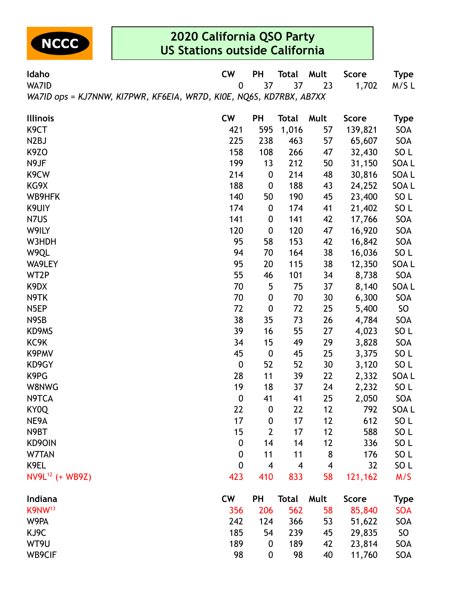

| Idaho                                                               | <b>CW</b>        | PH               | <b>Total</b> | Mult | <b>Score</b> | <b>Type</b>     |  |  |  |
|---------------------------------------------------------------------|------------------|------------------|--------------|------|--------------|-----------------|--|--|--|
| WA7ID                                                               | $\mathbf 0$      | 37               | 37           | 23   | 1,702        | M/SL            |  |  |  |
| WA7ID ops = KJ7NNW, KI7PWR, KF6EIA, WR7D, KI0E, NQ6S, KD7RBX, AB7XX |                  |                  |              |      |              |                 |  |  |  |
| <b>Illinois</b>                                                     | <b>CW</b>        | <b>PH</b>        | <b>Total</b> | Mult | <b>Score</b> | <b>Type</b>     |  |  |  |
| K <sub>9</sub> CT                                                   | 421              | 595              | 1,016        | 57   | 139,821      | SOA             |  |  |  |
| N <sub>2</sub> BJ                                                   | 225              | 238              | 463          | 57   | 65,607       | SOA             |  |  |  |
| K9ZO                                                                | 158              | 108              | 266          | 47   | 32,430       | SO <sub>L</sub> |  |  |  |
| N9JF                                                                | 199              | 13               | 212          | 50   | 31,150       | SOA L           |  |  |  |
| K <sub>9</sub> CW                                                   | 214              | $\boldsymbol{0}$ | 214          | 48   | 30,816       | SOA L           |  |  |  |
| KG9X                                                                | 188              | $\boldsymbol{0}$ | 188          | 43   | 24,252       | SOA L           |  |  |  |
| WB9HFK                                                              | 140              | 50               | 190          | 45   | 23,400       | SO <sub>L</sub> |  |  |  |
| K9UIY                                                               | 174              | $\boldsymbol{0}$ | 174          | 41   | 21,402       | SO <sub>L</sub> |  |  |  |
| N7US                                                                | 141              | $\boldsymbol{0}$ | 141          | 42   | 17,766       | SOA             |  |  |  |
| W9ILY                                                               | 120              | $\boldsymbol{0}$ | 120          | 47   | 16,920       | SOA             |  |  |  |
| W3HDH                                                               | 95               | 58               | 153          | 42   | 16,842       | SOA             |  |  |  |
| W9QL                                                                | 94               | 70               | 164          | 38   | 16,036       | SO <sub>L</sub> |  |  |  |
| WA9LEY                                                              | 95               | 20               | 115          | 38   | 12,350       | SOA L           |  |  |  |
| WT2P                                                                | 55               | 46               | 101          | 34   | 8,738        | SOA             |  |  |  |
| K <sub>9</sub> D <sub>X</sub>                                       | 70               | 5                | 75           | 37   | 8,140        | SOA L           |  |  |  |
| N9TK                                                                | 70               | $\boldsymbol{0}$ | 70           | 30   | 6,300        | SOA             |  |  |  |
| N <sub>5</sub> EP                                                   | 72               | $\boldsymbol{0}$ | 72           | 25   | 5,400        | SO <sub>1</sub> |  |  |  |
| N9SB                                                                | 38               | 35               | 73           | 26   | 4,784        | SOA             |  |  |  |
| KD9MS                                                               | 39               | 16               | 55           | 27   | 4,023        | SO <sub>L</sub> |  |  |  |
| KC9K                                                                | 34               | 15               | 49           | 29   | 3,828        | SOA             |  |  |  |
| K9PMV                                                               | 45               | $\boldsymbol{0}$ | 45           | 25   | 3,375        | SO <sub>L</sub> |  |  |  |
| KD9GY                                                               | $\boldsymbol{0}$ | 52               | 52           | 30   | 3,120        | SO <sub>L</sub> |  |  |  |
| K9PG                                                                | 28               | 11               | 39           | 22   | 2,332        | SOA L           |  |  |  |
| W8NWG                                                               | 19               | 18               | 37           | 24   | 2,232        | SO <sub>L</sub> |  |  |  |
| N9TCA                                                               | $\boldsymbol{0}$ | 41               | 41           | 25   | 2,050        | SOA             |  |  |  |
| KY0Q                                                                | 22               | $\boldsymbol{0}$ | 22           | 12   | 792          | SOA L           |  |  |  |
| NE9A                                                                | 17               | $\boldsymbol{0}$ | 17           | 12   | 612          | SO L            |  |  |  |
| N9BT                                                                | 15               | $\overline{2}$   | 17           | 12   | 588          | SO L            |  |  |  |
| KD90IN                                                              | 0                | 14               | 14           | 12   | 336          | SO <sub>L</sub> |  |  |  |
| W7TAN                                                               | $\boldsymbol{0}$ | 11               | 11           | 8    | 176          | SO L            |  |  |  |
| K9EL                                                                | $\mathbf 0$      | 4                | 4            | 4    | 32           | SO <sub>L</sub> |  |  |  |
| NV9L <sup>12</sup> (+ WB9Z)                                         | 423              | 410              | 833          | 58   | 121,162      | M/S             |  |  |  |
| Indiana                                                             | <b>CW</b>        | <b>PH</b>        | <b>Total</b> | Mult | <b>Score</b> | <b>Type</b>     |  |  |  |
| K9NW <sup>13</sup>                                                  | 356              | 206              | 562          | 58   | 85,840       | <b>SOA</b>      |  |  |  |
| W9PA                                                                | 242              | 124              | 366          | 53   | 51,622       | SOA             |  |  |  |
| KJ9C                                                                | 185              | 54               | 239          | 45   | 29,835       | SO <sub>1</sub> |  |  |  |
| WT9U                                                                | 189              | $\boldsymbol{0}$ | 189          | 42   | 23,814       | SOA             |  |  |  |
| WB9CIF                                                              | 98               | $\boldsymbol{0}$ | 98           | 40   | 11,760       | SOA             |  |  |  |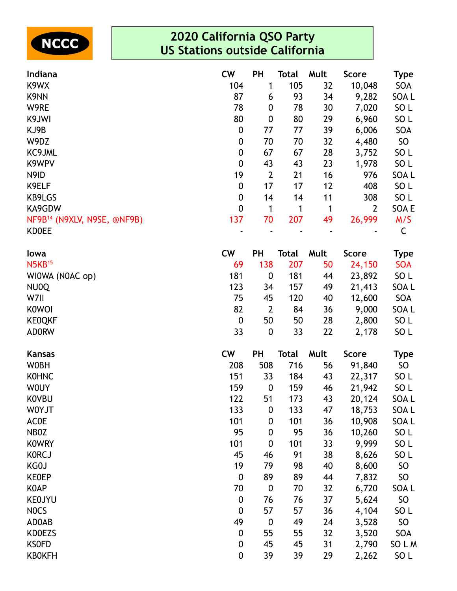

| Indiana                                 | <b>CW</b>        | <b>PH</b>        | <b>Total</b> | Mult | <b>Score</b>   | Type             |
|-----------------------------------------|------------------|------------------|--------------|------|----------------|------------------|
| K9WX                                    | 104              | 1                | 105          | 32   | 10,048         | SOA              |
| K9NN                                    | 87               | 6                | 93           | 34   | 9,282          | SOA L            |
| W9RE                                    | 78               | 0                | 78           | 30   | 7,020          | SO <sub>L</sub>  |
| K9JWI                                   | 80               | 0                | 80           | 29   | 6,960          | SO <sub>L</sub>  |
| KJ9B                                    | 0                | 77               | 77           | 39   | 6,006          | SOA              |
| W9DZ                                    | 0                | 70               | 70           | 32   | 4,480          | SO               |
| KC9JML                                  | $\pmb{0}$        | 67               | 67           | 28   | 3,752          | SO <sub>L</sub>  |
| K9WPV                                   | $\pmb{0}$        | 43               | 43           | 23   | 1,978          | SO <sub>L</sub>  |
| N9ID                                    | 19               | $\overline{2}$   | 21           | 16   | 976            | SOA L            |
| K9ELF                                   | $\pmb{0}$        | 17               | 17           | 12   | 408            | SO <sub>L</sub>  |
| KB9LGS                                  | 0                | 14               | 14           | 11   | 308            | SO <sub>L</sub>  |
| KA9GDW                                  | $\boldsymbol{0}$ | 1                | 1            | 1    | $\overline{2}$ | SOA E            |
| NF9B <sup>14</sup> (N9XLV, N9SE, @NF9B) | 137              | 70               | 207          | 49   | 26,999         | M/S              |
| <b>KDOEE</b>                            |                  |                  |              |      |                | $\mathsf C$      |
| lowa                                    | <b>CW</b>        | <b>PH</b>        | <b>Total</b> | Mult | <b>Score</b>   | <b>Type</b>      |
| $N5KB^{15}$                             | 69               | 138              | 207          | 50   | 24,150         | <b>SOA</b>       |
| WI0WA (N0AC op)                         | 181              | $\boldsymbol{0}$ | 181          | 44   | 23,892         | SO <sub>L</sub>  |
| NU0Q                                    | 123              | 34               | 157          | 49   | 21,413         | SOA L            |
| W7II                                    | 75               | 45               | 120          | 40   | 12,600         | SOA              |
| <b>KOWOI</b>                            | 82               | $\overline{2}$   | 84           | 36   | 9,000          | SOA L            |
| <b>KEOQKF</b>                           | $\boldsymbol{0}$ | 50               | 50           | 28   | 2,800          | SO <sub>L</sub>  |
| <b>ADORW</b>                            | 33               | $\boldsymbol{0}$ | 33           | 22   | 2,178          | SO <sub>L</sub>  |
| <b>Kansas</b>                           | <b>CW</b>        | <b>PH</b>        | <b>Total</b> | Mult | <b>Score</b>   | <b>Type</b>      |
| <b>WOBH</b>                             | 208              | 508              | 716          | 56   | 91,840         | SO               |
| <b>KOHNC</b>                            | 151              | 33               | 184          | 43   | 22,317         | SO <sub>L</sub>  |
| <b>WOUY</b>                             | 159              | $\boldsymbol{0}$ | 159          | 46   | 21,942         | SO <sub>L</sub>  |
| <b>KOVBU</b>                            | 122              | 51               | 173          | 43   | 20,124         | SOA <sub>L</sub> |
| <b>WOYJT</b>                            | 133              | $\boldsymbol{0}$ | 133          | 47   | 18,753         | SOA L            |
| <b>ACOE</b>                             | 101              | $\boldsymbol{0}$ | 101          | 36   | 10,908         | SOA L            |
| NB0Z                                    | 95               | 0                | 95           | 36   | 10,260         | SO <sub>L</sub>  |
| <b>KOWRY</b>                            | 101              | $\boldsymbol{0}$ | 101          | 33   | 9,999          | SO <sub>L</sub>  |
| <b>KORCJ</b>                            | 45               | 46               | 91           | 38   | 8,626          | SO <sub>L</sub>  |
| KG0J                                    | 19               | 79               | 98           | 40   | 8,600          | <b>SO</b>        |
| <b>KEOEP</b>                            | $\boldsymbol{0}$ | 89               | 89           | 44   | 7,832          | <b>SO</b>        |
| <b>KOAP</b>                             | 70               | $\boldsymbol{0}$ | 70           | 32   | 6,720          | SOA L            |
| <b>KEOJYU</b>                           | $\boldsymbol{0}$ | 76               | 76           | 37   | 5,624          | <b>SO</b>        |
| <b>NOCS</b>                             | $\boldsymbol{0}$ | 57               | 57           | 36   | 4,104          | SO <sub>L</sub>  |
| AD0AB                                   | 49               | $\boldsymbol{0}$ | 49           | 24   | 3,528          | <b>SO</b>        |
| <b>KDOEZS</b>                           | 0                | 55               | 55           | 32   | 3,520          | SOA              |
| <b>KSOFD</b>                            | $\boldsymbol{0}$ | 45               | 45           | 31   | 2,790          | SO L M           |
| <b>KBOKFH</b>                           | $\boldsymbol{0}$ | 39               | 39           | 29   | 2,262          | SO <sub>L</sub>  |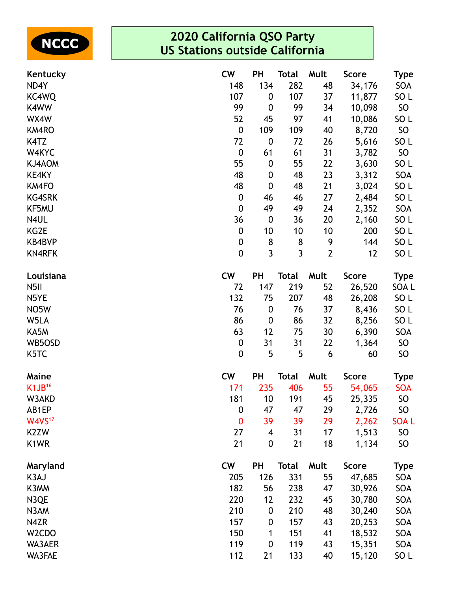

| Kentucky           | <b>CW</b>        | PH               | <b>Total</b> | Mult           | <b>Score</b> | <b>Type</b>     |
|--------------------|------------------|------------------|--------------|----------------|--------------|-----------------|
| ND4Y               | 148              | 134              | 282          | 48             | 34,176       | SOA             |
| KC4WQ              | 107              | $\boldsymbol{0}$ | 107          | 37             | 11,877       | SO <sub>L</sub> |
| K4WW               | 99               | $\boldsymbol{0}$ | 99           | 34             | 10,098       | SO              |
| WX4W               | 52               | 45               | 97           | 41             | 10,086       | SO <sub>L</sub> |
| KM4RO              | $\pmb{0}$        | 109              | 109          | 40             | 8,720        | SO              |
| K4TZ               | 72               | $\boldsymbol{0}$ | 72           | 26             | 5,616        | SO <sub>L</sub> |
| W4KYC              | $\pmb{0}$        | 61               | 61           | 31             | 3,782        | SO              |
| KJ4AOM             | 55               | $\boldsymbol{0}$ | 55           | 22             | 3,630        | SO <sub>L</sub> |
| KE4KY              | 48               | $\boldsymbol{0}$ | 48           | 23             | 3,312        | SOA             |
| <b>KM4FO</b>       | 48               | $\boldsymbol{0}$ | 48           | 21             | 3,024        | SO <sub>L</sub> |
| <b>KG4SRK</b>      | 0                | 46               | 46           | 27             | 2,484        | SO <sub>L</sub> |
| KF5MU              | $\pmb{0}$        | 49               | 49           | 24             | 2,352        | SOA             |
| N4UL               | 36               | $\boldsymbol{0}$ | 36           | 20             | 2,160        | SO <sub>L</sub> |
| KG2E               | 0                | 10               | 10           | 10             | 200          | SO <sub>L</sub> |
| <b>KB4BVP</b>      | 0                | 8                | 8            | 9              | 144          | SO <sub>L</sub> |
| <b>KN4RFK</b>      | $\mathbf 0$      | $\overline{3}$   | $\mathbf{3}$ | $\overline{2}$ | 12           | SO <sub>L</sub> |
| Louisiana          | <b>CW</b>        | PH               | <b>Total</b> | Mult           | <b>Score</b> | <b>Type</b>     |
| N <sub>5</sub> II  | 72               | 147              | 219          | 52             | 26,520       | SOA L           |
| N5YE               | 132              | 75               | 207          | 48             | 26,208       | SO L            |
| NO <sub>5</sub> W  | 76               | $\boldsymbol{0}$ | 76           | 37             | 8,436        | SO <sub>L</sub> |
| W5LA               | 86               | $\boldsymbol{0}$ | 86           | 32             | 8,256        | SO <sub>L</sub> |
| KA5M               | 63               | 12               | 75           | 30             | 6,390        | SOA             |
| WB5OSD             | 0                | 31               | 31           | 22             | 1,364        | SO <sub>1</sub> |
| K <sub>5</sub> TC  | $\mathbf 0$      | 5                | 5            | 6              | 60           | <b>SO</b>       |
| Maine              | <b>CW</b>        | PH               | <b>Total</b> | Mult           | <b>Score</b> | <b>Type</b>     |
| K1JB <sup>16</sup> | 171              | 235              | 406          | 55             | 54,065       | <b>SOA</b>      |
| W3AKD              | 181              | 10               | 191          | 45             | 25,335       | SO              |
| AB1EP              | $\boldsymbol{0}$ | 47               | 47           | 29             | 2,726        | SO              |
| W4VS <sup>17</sup> | $\bf{0}$         | 39               | 39           | 29             | 2,262        | <b>SOAL</b>     |
| K <sub>2</sub> ZW  | 27               | 4                | 31           | 17             | 1,513        | <b>SO</b>       |
| K1WR               | 21               | $\boldsymbol{0}$ | 21           | 18             | 1,134        | <b>SO</b>       |
| Maryland           | <b>CW</b>        | PH               | <b>Total</b> | Mult           | <b>Score</b> | <b>Type</b>     |
| K3AJ               | 205              | 126              | 331          | 55             | 47,685       | SOA             |
| K3MM               | 182              | 56               | 238          | 47             | 30,926       | SOA             |
| N3QE               | 220              | 12               | 232          | 45             | 30,780       | SOA             |
| N3AM               | 210              | $\boldsymbol{0}$ | 210          | 48             | 30,240       | SOA             |
| N4ZR               | 157              | $\boldsymbol{0}$ | 157          | 43             | 20,253       | SOA             |
| W <sub>2</sub> CDO | 150              | 1                | 151          | 41             | 18,532       | SOA             |
| WA3AER             | 119              | $\boldsymbol{0}$ | 119          | 43             | 15,351       | SOA             |
| WA3FAE             | 112              | 21               | 133          | 40             | 15,120       | SO <sub>L</sub> |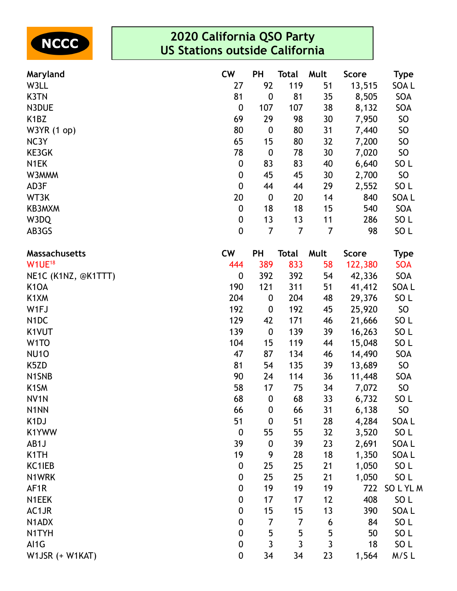

| Maryland                      | <b>CW</b>        | <b>PH</b>        | <b>Total</b>   | Mult           | <b>Score</b> | <b>Type</b>      |
|-------------------------------|------------------|------------------|----------------|----------------|--------------|------------------|
| W3LL                          | 27               | 92               | 119            | 51             | 13,515       | SOA L            |
| K3TN                          | 81               | $\boldsymbol{0}$ | 81             | 35             | 8,505        | SOA              |
| N3DUE                         | $\boldsymbol{0}$ | 107              | 107            | 38             | 8,132        | SOA              |
| K <sub>1</sub> BZ             | 69               | 29               | 98             | 30             | 7,950        | <b>SO</b>        |
| W3YR (1 op)                   | 80               | $\boldsymbol{0}$ | 80             | 31             | 7,440        | SO               |
| NC3Y                          | 65               | 15               | 80             | 32             | 7,200        | SO               |
| KE3GK                         | 78               | $\boldsymbol{0}$ | 78             | 30             | 7,020        | SO               |
| N1EK                          | $\boldsymbol{0}$ | 83               | 83             | 40             | 6,640        | SO <sub>L</sub>  |
| W3MMM                         | $\boldsymbol{0}$ | 45               | 45             | 30             | 2,700        | SO               |
| AD3F                          | $\pmb{0}$        | 44               | 44             | 29             | 2,552        | SO <sub>L</sub>  |
| WT3K                          | 20               | $\boldsymbol{0}$ | 20             | 14             | 840          | SOA L            |
| KB3MXM                        | $\boldsymbol{0}$ | 18               | 18             | 15             | 540          | SOA              |
| W3DQ                          | 0                | 13               | 13             | 11             | 286          | SO <sub>L</sub>  |
| AB3GS                         | $\mathbf 0$      | $\overline{7}$   | 7              | $\overline{7}$ | 98           | SO <sub>L</sub>  |
| <b>Massachusetts</b>          | <b>CW</b>        | <b>PH</b>        | <b>Total</b>   | Mult           | <b>Score</b> | <b>Type</b>      |
| W1UE <sup>18</sup>            | 444              | 389              | 833            | 58             | 122,380      | <b>SOA</b>       |
| NE1C (K1NZ, @K1TTT)           | 0                | 392              | 392            | 54             | 42,336       | SOA              |
| K <sub>1</sub> O <sub>A</sub> | 190              | 121              | 311            | 51             | 41,412       | SOA L            |
| K1XM                          | 204              | $\boldsymbol{0}$ | 204            | 48             | 29,376       | SO <sub>L</sub>  |
| W1FJ                          | 192              | $\boldsymbol{0}$ | 192            | 45             | 25,920       | <b>SO</b>        |
| N <sub>1</sub> DC             | 129              | 42               | 171            | 46             | 21,666       | SO <sub>L</sub>  |
| K1VUT                         | 139              | $\boldsymbol{0}$ | 139            | 39             | 16,263       | SO <sub>L</sub>  |
| W <sub>1</sub> TO             | 104              | 15               | 119            | 44             | 15,048       | SO <sub>L</sub>  |
| <b>NU10</b>                   | 47               | 87               | 134            | 46             | 14,490       | SOA              |
| K5ZD                          | 81               | 54               | 135            | 39             | 13,689       | SO <sub>1</sub>  |
| N1SNB                         | 90               | 24               | 114            | 36             | 11,448       | SOA              |
| K <sub>1</sub> SM             | 58               | 17               | 75             | 34             | 7,072        | <b>SO</b>        |
| NV <sub>1</sub> N             | 68               | $\mathbf{0}$     | 68             | 33             | 6,732        | SO <sub>L</sub>  |
| N <sub>1</sub> NN             | 66               | $\boldsymbol{0}$ | 66             | 31             | 6,138        | SO               |
| K <sub>1</sub> DJ             | 51               | $\boldsymbol{0}$ | 51             | 28             | 4,284        | SOA L            |
| K1YWW                         | $\boldsymbol{0}$ | 55               | 55             | 32             | 3,520        | SO <sub>L</sub>  |
| AB1J                          | 39               | $\boldsymbol{0}$ | 39             | 23             | 2,691        | SOA L            |
| K <sub>1</sub> TH             | 19               | 9                | 28             | 18             | 1,350        | SOA L            |
| KC1IEB                        | $\boldsymbol{0}$ | 25               | 25             | 21             | 1,050        | SO <sub>L</sub>  |
| N1WRK                         | $\boldsymbol{0}$ | 25               | 25             | 21             | 1,050        | SO <sub>L</sub>  |
| AF <sub>1</sub> R             | $\boldsymbol{0}$ | 19               | 19             | 19             | 722          | SOLYLM           |
| N1EEK                         | $\pmb{0}$        | 17               | 17             | 12             | 408          | SO <sub>L</sub>  |
| AC1JR                         | $\boldsymbol{0}$ | 15               | 15             | 13             | 390          | SOA <sub>L</sub> |
| N1ADX                         | $\boldsymbol{0}$ | 7                | $\overline{7}$ | 6              | 84           | SO <sub>L</sub>  |
| N1TYH                         | $\boldsymbol{0}$ | 5                | 5              | 5              | 50           | SO <sub>L</sub>  |
| AI1G                          | $\boldsymbol{0}$ | $\overline{3}$   | $\mathbf{3}$   | 3              | 18           | SO <sub>L</sub>  |
| W1JSR (+ W1KAT)               | $\boldsymbol{0}$ | 34               | 34             | 23             | 1,564        | M/SL             |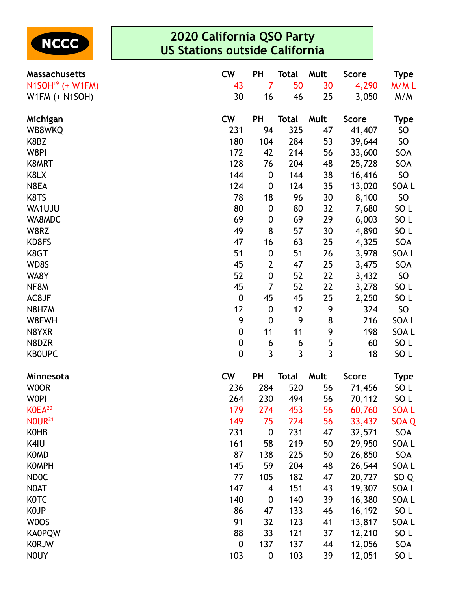

| Massachusetts      | <b>CW</b>        | <b>PH</b>        | <b>Total</b> | Mult | <b>Score</b> | <b>Type</b>      |
|--------------------|------------------|------------------|--------------|------|--------------|------------------|
| $N1SOH19$ (+ W1FM) | 43               | 7                | 50           | 30   | 4,290        | M/ML             |
| W1FM $(+$ N1SOH)   | 30               | 16               | 46           | 25   | 3,050        | M/M              |
| Michigan           | <b>CW</b>        | <b>PH</b>        | <b>Total</b> | Mult | <b>Score</b> | <b>Type</b>      |
| WB8WKQ             | 231              | 94               | 325          | 47   | 41,407       | <b>SO</b>        |
| K8BZ               | 180              | 104              | 284          | 53   | 39,644       | SO               |
| W8PI               | 172              | 42               | 214          | 56   | 33,600       | SOA              |
| K8MRT              | 128              | 76               | 204          | 48   | 25,728       | SOA              |
| K8LX               | 144              | $\boldsymbol{0}$ | 144          | 38   | 16,416       | SO               |
| N8EA               | 124              | $\boldsymbol{0}$ | 124          | 35   | 13,020       | SOA <sub>L</sub> |
| K8TS               | 78               | 18               | 96           | 30   | 8,100        | SO               |
| WA1UJU             | 80               | $\boldsymbol{0}$ | 80           | 32   | 7,680        | SO <sub>L</sub>  |
| WA8MDC             | 69               | $\boldsymbol{0}$ | 69           | 29   | 6,003        | SO <sub>L</sub>  |
| W8RZ               | 49               | 8                | 57           | 30   | 4,890        | SO <sub>L</sub>  |
| KD8FS              | 47               | 16               | 63           | 25   | 4,325        | SOA              |
| K8GT               | 51               | $\boldsymbol{0}$ | 51           | 26   | 3,978        | SOA <sub>L</sub> |
| WD8S               | 45               | $\overline{2}$   | 47           | 25   | 3,475        | SOA              |
| WA8Y               | 52               | $\pmb{0}$        | 52           | 22   | 3,432        | SO               |
| NF8M               | 45               | $\overline{7}$   | 52           | 22   | 3,278        | SO <sub>L</sub>  |
| AC8JF              | $\boldsymbol{0}$ | 45               | 45           | 25   | 2,250        | SO <sub>L</sub>  |
| N8HZM              | 12               | $\boldsymbol{0}$ | 12           | 9    | 324          | SO               |
| W8EWH              | 9                | $\boldsymbol{0}$ | 9            | 8    | 216          | SOA L            |
| N8YXR              | 0                | 11               | 11           | 9    | 198          | SOA L            |
| N8DZR              | $\pmb{0}$        | 6                | 6            | 5    | 60           | SO <sub>L</sub>  |
| <b>KBOUPC</b>      | $\overline{0}$   | 3                | 3            | 3    | 18           | SO <sub>L</sub>  |
| Minnesota          | <b>CW</b>        | <b>PH</b>        | <b>Total</b> | Mult | <b>Score</b> | <b>Type</b>      |
| <b>WOOR</b>        | 236              | 284              | 520          | 56   | 71,456       | SO <sub>L</sub>  |
| <b>WOPI</b>        | 264              | 230              | 494          | 56   | 70,112       | SO <sub>L</sub>  |
| K0EA <sup>20</sup> | 179              | 274              | 453          | 56   | 60,760       | <b>SOAL</b>      |
| <b>NOUR21</b>      | 149              | 75               | 224          | 56   | 33,432       | SOA Q            |
| <b>KOHB</b>        | 231              | $\boldsymbol{0}$ | 231          | 47   | 32,571       | SOA              |
| K4IU               | 161              | 58               | 219          | 50   | 29,950       | SOA L            |
| <b>KOMD</b>        | 87               | 138              | 225          | 50   | 26,850       | SOA              |
| <b>KOMPH</b>       | 145              | 59               | 204          | 48   | 26,544       | SOA L            |
| <b>NDOC</b>        | 77               | 105              | 182          | 47   | 20,727       | SO <sub>Q</sub>  |
| <b>NOAT</b>        | 147              | 4                | 151          | 43   | 19,307       | SOA L            |
| <b>KOTC</b>        | 140              | $\boldsymbol{0}$ | 140          | 39   | 16,380       | SOA L            |
| <b>KOJP</b>        | 86               | 47               | 133          | 46   | 16,192       | SO <sub>L</sub>  |
| W0OS               | 91               | 32               | 123          | 41   | 13,817       | SOA L            |
| <b>KA0PQW</b>      | 88               | 33               | 121          | 37   | 12,210       | SO <sub>L</sub>  |
| <b>KORJW</b>       | 0                | 137              | 137          | 44   | 12,056       | SOA              |
| <b>NOUY</b>        | 103              | $\boldsymbol{0}$ | 103          | 39   | 12,051       | SO <sub>L</sub>  |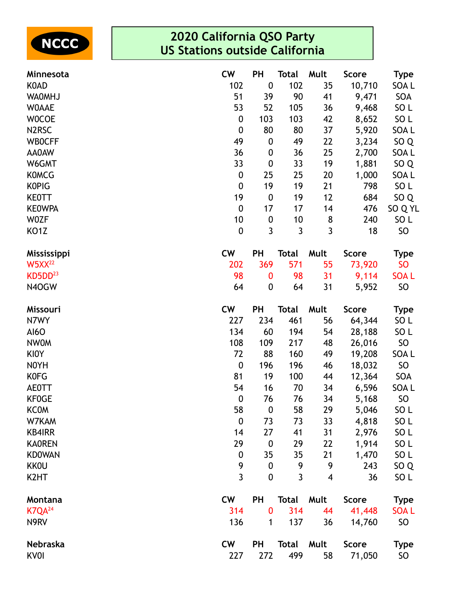

| Minnesota           | <b>CW</b>        | <b>PH</b>        | <b>Total</b> | Mult                    | <b>Score</b> | <b>Type</b>     |
|---------------------|------------------|------------------|--------------|-------------------------|--------------|-----------------|
| <b>KOAD</b>         | 102              | $\boldsymbol{0}$ | 102          | 35                      | 10,710       | SOA L           |
| <b>WAOMHJ</b>       | 51               | 39               | 90           | 41                      | 9,471        | SOA             |
| <b>WOAAE</b>        | 53               | 52               | 105          | 36                      | 9,468        | SO <sub>L</sub> |
| <b>WOCOE</b>        | $\boldsymbol{0}$ | 103              | 103          | 42                      | 8,652        | SO <sub>L</sub> |
| N <sub>2</sub> RSC  | $\boldsymbol{0}$ | 80               | 80           | 37                      | 5,920        | SOA L           |
| <b>WBOCFF</b>       | 49               | $\boldsymbol{0}$ | 49           | 22                      | 3,234        | SO <sub>Q</sub> |
| AA0AW               | 36               | 0                | 36           | 25                      | 2,700        | SOA L           |
| W6GMT               | 33               | $\boldsymbol{0}$ | 33           | 19                      | 1,881        | SO <sub>Q</sub> |
| <b>KOMCG</b>        | $\boldsymbol{0}$ | 25               | 25           | 20                      | 1,000        | SOA L           |
| <b>KOPIG</b>        | $\boldsymbol{0}$ | 19               | 19           | 21                      | 798          | SO L            |
| <b>KEOTT</b>        | 19               | $\boldsymbol{0}$ | 19           | 12                      | 684          | SO <sub>Q</sub> |
| <b>KEOWPA</b>       | $\boldsymbol{0}$ | 17               | 17           | 14                      | 476          | SO Q YL         |
| <b>WOZF</b>         | 10               | $\boldsymbol{0}$ | 10           | 8                       | 240          | SO <sub>L</sub> |
| KO <sub>1</sub> Z   | $\boldsymbol{0}$ | 3                | 3            | $\overline{3}$          | 18           | <b>SO</b>       |
| Mississippi         | <b>CW</b>        | <b>PH</b>        | <b>Total</b> | Mult                    | <b>Score</b> | Type            |
| $W5XX^{22}$         | 202              | 369              | 571          | 55                      | 73,920       | <b>SO</b>       |
| KD5DD <sup>23</sup> | 98               | 0                | 98           | 31                      | 9,114        | <b>SOAL</b>     |
| N4OGW               | 64               | 0                | 64           | 31                      | 5,952        | <b>SO</b>       |
| Missouri            | <b>CW</b>        | PH               | <b>Total</b> | Mult                    | <b>Score</b> | <b>Type</b>     |
| N7WY                | 227              | 234              | 461          | 56                      | 64,344       | SO <sub>L</sub> |
| <b>AI6O</b>         | 134              | 60               | 194          | 54                      | 28,188       | SO <sub>L</sub> |
| <b>NWOM</b>         | 108              | 109              | 217          | 48                      | 26,016       | <b>SO</b>       |
| <b>KIOY</b>         | 72               | 88               | 160          | 49                      | 19,208       | SOA L           |
| N0YH                | $\boldsymbol{0}$ | 196              | 196          | 46                      | 18,032       | SO              |
| <b>KOFG</b>         | 81               | 19               | 100          | 44                      | 12,364       | SOA             |
| <b>AE0TT</b>        | 54               | 16               | 70           | 34                      | 6,596        | SOA L           |
| <b>KF0GE</b>        | $\boldsymbol{0}$ | 76               | 76           | 34                      | 5,168        | <b>SO</b>       |
| <b>KCOM</b>         | 58               | $\boldsymbol{0}$ | 58           | 29                      | 5,046        | SO <sub>L</sub> |
| W7KAM               | $\boldsymbol{0}$ | 73               | 73           | 33                      | 4,818        | SO <sub>L</sub> |
| <b>KB4IRR</b>       | 14               | 27               | 41           | 31                      | 2,976        | SO <sub>L</sub> |
| <b>KAOREN</b>       | 29               | $\boldsymbol{0}$ | 29           | 22                      | 1,914        | SO <sub>L</sub> |
| <b>KDOWAN</b>       | $\boldsymbol{0}$ | 35               | 35           | 21                      | 1,470        | SO <sub>L</sub> |
| <b>KKOU</b>         | 9                | 0                | 9            | 9                       | 243          | SO <sub>Q</sub> |
| K <sub>2</sub> HT   | $\overline{3}$   | 0                | 3            | $\overline{\mathbf{4}}$ | 36           | SO <sub>L</sub> |
| Montana             | <b>CW</b>        | <b>PH</b>        | Total        | Mult                    | <b>Score</b> | <b>Type</b>     |
| K7QA <sup>24</sup>  | 314              | 0                | 314          | 44                      | 41,448       | <b>SOAL</b>     |
| N9RV                | 136              | 1                | 137          | 36                      | 14,760       | <b>SO</b>       |
| Nebraska            | <b>CW</b>        | <b>PH</b>        | <b>Total</b> | Mult                    | <b>Score</b> | <b>Type</b>     |
| <b>KV0I</b>         | 227              | 272              | 499          | 58                      | 71,050       | <b>SO</b>       |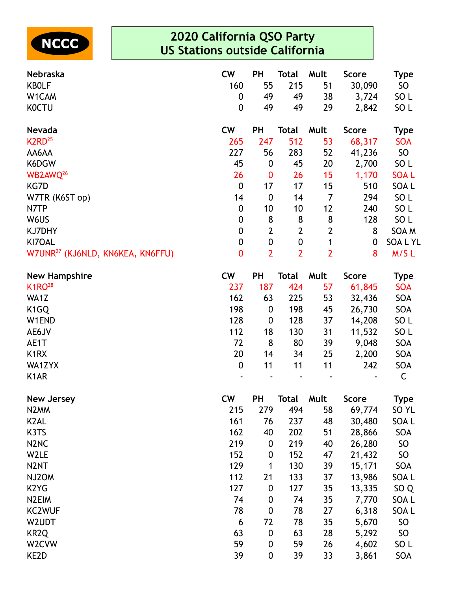

| Nebraska                                     | <b>CW</b>        | PH               | Total                         | Mult           | <b>Score</b> | <b>Type</b>     |
|----------------------------------------------|------------------|------------------|-------------------------------|----------------|--------------|-----------------|
| <b>KBOLF</b>                                 | 160              | 55               | 215                           | 51             | 30,090       | SO              |
| W1CAM                                        | 0                | 49               | 49                            | 38             | 3,724        | SO <sub>L</sub> |
| <b>KOCTU</b>                                 | $\overline{0}$   | 49               | 49                            | 29             | 2,842        | SO <sub>L</sub> |
| Nevada                                       | <b>CW</b>        | PH               | <b>Total</b>                  | Mult           | <b>Score</b> | <b>Type</b>     |
| K <sub>2</sub> RD <sup>25</sup>              | 265              | 247              | 512                           | 53             | 68,317       | <b>SOA</b>      |
| AA6AA                                        | 227              | 56               | 283                           | 52             | 41,236       | SO              |
| K6DGW                                        | 45               | $\boldsymbol{0}$ | 45                            | 20             | 2,700        | SO <sub>L</sub> |
| WB2AWQ <sup>26</sup>                         | 26               | $\bf{0}$         | 26                            | 15             | 1,170        | <b>SOAL</b>     |
| KG7D                                         | $\boldsymbol{0}$ | 17               | 17                            | 15             | 510          | SOA L           |
| W7TR (K6ST op)                               | 14               | $\boldsymbol{0}$ | 14                            | $\overline{7}$ | 294          | SO <sub>L</sub> |
| N7TP                                         | $\boldsymbol{0}$ | 10               | 10                            | 12             | 240          | SO <sub>L</sub> |
| W6US                                         | $\mathbf 0$      | 8                | 8                             | 8              | 128          | SO <sub>L</sub> |
| <b>KJ7DHY</b>                                | $\boldsymbol{0}$ | $\mathbf{2}$     | $\overline{2}$                | $\overline{2}$ | 8            | SOA M           |
| KI7OAL                                       | $\boldsymbol{0}$ | $\boldsymbol{0}$ | $\pmb{0}$                     | 1              | 0            | <b>SOALYL</b>   |
| W7UNR <sup>27</sup> (KJ6NLD, KN6KEA, KN6FFU) | $\bf{0}$         | $\overline{2}$   | $\overline{2}$                | $\overline{2}$ | 8            | M/SL            |
| <b>New Hampshire</b>                         | <b>CW</b>        | PH               | <b>Total</b>                  | Mult           | <b>Score</b> | <b>Type</b>     |
| K <sub>1</sub> RO <sup>28</sup>              | 237              | 187              | 424                           | 57             | 61,845       | <b>SOA</b>      |
| WA1Z                                         | 162              | 63               | 225                           | 53             | 32,436       | SOA             |
| K <sub>1</sub> GQ                            | 198              | $\boldsymbol{0}$ | 198                           | 45             | 26,730       | SOA             |
| W1END                                        | 128              | $\boldsymbol{0}$ | 128                           | 37             | 14,208       | SO <sub>L</sub> |
| AE6JV                                        | 112              | 18               | 130                           | 31             | 11,532       | SO <sub>L</sub> |
| AE1T                                         | 72               | 8                | 80                            | 39             | 9,048        | SOA             |
| K <sub>1</sub> R <sub>X</sub>                | 20               | 14               | 34                            | 25             | 2,200        | SOA             |
| WA1ZYX                                       | $\boldsymbol{0}$ | 11               | 11                            | 11             | 242          | SOA             |
| K <sub>1</sub> AR                            |                  |                  |                               |                |              | C               |
| <b>New Jersey</b>                            | <b>CW</b>        | PH               | <b>Total</b>                  | Mult           | <b>Score</b> | <b>Type</b>     |
| <b>KIDAAAA</b>                               | <b>DAE</b>       | 270              | $\overline{A}$ $\overline{A}$ | E O            | (0.77)       | $c \wedge w$    |

| N2MM          | 215 | 279              | 494 | 58 | 69,774 | SO <sub>YL</sub> |
|---------------|-----|------------------|-----|----|--------|------------------|
| K2AL          | 161 | 76               | 237 | 48 | 30,480 | SOA L            |
| K3TS          | 162 | 40               | 202 | 51 | 28,866 | SOA              |
| N2NC          | 219 | 0                | 219 | 40 | 26,280 | <b>SO</b>        |
| W2LE          | 152 | $\bf{0}$         | 152 | 47 | 21,432 | SO               |
| N2NT          | 129 | 1                | 130 | 39 | 15,171 | SOA              |
| NJ2OM         | 112 | 21               | 133 | 37 | 13,986 | SOA L            |
| K2YG          | 127 | $\bf{0}$         | 127 | 35 | 13,335 | SO <sub>Q</sub>  |
| N2EIM         | 74  | $\bf{0}$         | 74  | 35 | 7,770  | SOA L            |
| <b>KC2WUF</b> | 78  | $\boldsymbol{0}$ | 78  | 27 | 6,318  | SOA L            |
| W2UDT         | 6   | 72               | 78  | 35 | 5,670  | <b>SO</b>        |
| KR2Q          | 63  | $\bf{0}$         | 63  | 28 | 5,292  | SO               |
| W2CVW         | 59  | $\boldsymbol{0}$ | 59  | 26 | 4,602  | SO <sub>L</sub>  |
| KE2D          | 39  | $\boldsymbol{0}$ | 39  | 33 | 3,861  | SOA              |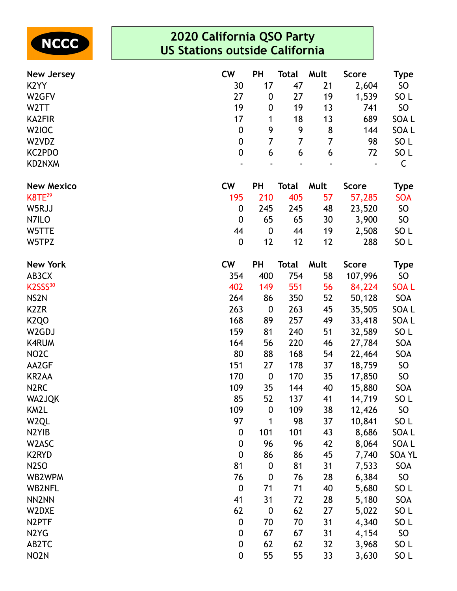

| <b>New Jersey</b>              | <b>CW</b>        | <b>PH</b>        | Total        | Mult | <b>Score</b> | <b>Type</b>     |
|--------------------------------|------------------|------------------|--------------|------|--------------|-----------------|
| K <sub>2</sub> YY              | 30               | 17               | 47           | 21   | 2,604        | SO              |
| W <sub>2</sub> GFV             | 27               | $\boldsymbol{0}$ | 27           | 19   | 1,539        | SO <sub>L</sub> |
| W <sub>2</sub> TT              | 19               | $\boldsymbol{0}$ | 19           | 13   | 741          | SO              |
| <b>KA2FIR</b>                  | 17               | 1                | 18           | 13   | 689          | SOA L           |
| W <sub>2</sub> IOC             | $\boldsymbol{0}$ | 9                | 9            | 8    | 144          | SOA L           |
| W2VDZ                          | $\boldsymbol{0}$ | 7                | 7            | 7    | 98           | SO <sub>L</sub> |
| KC2PDO                         | $\boldsymbol{0}$ | 6                | 6            | 6    | 72           | SO <sub>L</sub> |
| KD2NXM                         |                  |                  |              |      |              | $\mathsf{C}$    |
| <b>New Mexico</b>              | <b>CW</b>        | <b>PH</b>        | <b>Total</b> | Mult | <b>Score</b> | <b>Type</b>     |
| K8TE <sup>29</sup>             | 195              | 210              | 405          | 57   | 57,285       | <b>SOA</b>      |
| W5RJJ                          | $\boldsymbol{0}$ | 245              | 245          | 48   | 23,520       | <b>SO</b>       |
| N7ILO                          | $\boldsymbol{0}$ | 65               | 65           | 30   | 3,900        | SO              |
| W5TTE                          | 44               | $\boldsymbol{0}$ | 44           | 19   | 2,508        | SO <sub>L</sub> |
| W5TPZ                          | $\boldsymbol{0}$ | 12               | 12           | 12   | 288          | SO <sub>L</sub> |
| <b>New York</b>                | <b>CW</b>        | <b>PH</b>        | Total        | Mult | <b>Score</b> | <b>Type</b>     |
| AB3CX                          | 354              | 400              | 754          | 58   | 107,996      | <b>SO</b>       |
| K2SSS <sup>30</sup>            | 402              | 149              | 551          | 56   | 84,224       | <b>SOAL</b>     |
| NS <sub>2N</sub>               | 264              | 86               | 350          | 52   | 50,128       | SOA             |
| K <sub>2</sub> ZR              | 263              | $\boldsymbol{0}$ | 263          | 45   | 35,505       | SOA L           |
| K <sub>2</sub> QO              | 168              | 89               | 257          | 49   | 33,418       | SOA L           |
| W2GDJ                          | 159              | 81               | 240          | 51   | 32,589       | SO <sub>L</sub> |
| <b>K4RUM</b>                   | 164              | 56               | 220          | 46   | 27,784       | SOA             |
| NO <sub>2</sub> C              | 80               | 88               | 168          | 54   | 22,464       | SOA             |
| AA2GF                          | 151              | 27               | 178          | 37   | 18,759       | <b>SO</b>       |
| <b>KR2AA</b>                   | 170              | $\boldsymbol{0}$ | 170          | 35   | 17,850       | <b>SO</b>       |
| N <sub>2</sub> RC              | 109              | 35               | 144          | 40   | 15,880       | SOA             |
| <b>WA2JQK</b>                  | 85               | 52               | 137          | 41   | 14,719       | SO <sub>L</sub> |
| KM2L                           | 109              | $\boldsymbol{0}$ | 109          | 38   | 12,426       | <b>SO</b>       |
| W <sub>2QL</sub>               | 97               | 1                | 98           | 37   | 10,841       | SO <sub>L</sub> |
| N <sub>2</sub> Y <sub>IB</sub> | $\boldsymbol{0}$ | 101              | 101          | 43   | 8,686        | SOA L           |
| W2ASC                          | $\boldsymbol{0}$ | 96               | 96           | 42   | 8,064        | SOA L           |
| K2RYD                          | $\boldsymbol{0}$ | 86               | 86           | 45   | 7,740        | <b>SOA YL</b>   |
| <b>N2SO</b>                    | 81               | $\boldsymbol{0}$ | 81           | 31   | 7,533        | SOA             |
| WB2WPM                         | 76               | $\boldsymbol{0}$ | 76           | 28   | 6,384        | SO              |
| <b>WB2NFL</b>                  | $\boldsymbol{0}$ | 71               | 71           | 40   | 5,680        | SO <sub>L</sub> |
| NN2NN                          | 41               | 31               | 72           | 28   | 5,180        | SOA             |
| W2DXE                          | 62               | $\boldsymbol{0}$ | 62           | 27   | 5,022        | SO <sub>L</sub> |
| N2PTF                          | $\boldsymbol{0}$ | 70               | 70           | 31   | 4,340        | SO <sub>L</sub> |
| N <sub>2</sub> Y <sub>G</sub>  | $\boldsymbol{0}$ | 67               | 67           | 31   | 4,154        | <b>SO</b>       |
| AB2TC                          | $\boldsymbol{0}$ | 62               | 62           | 32   | 3,968        | SO <sub>L</sub> |
| NO <sub>2</sub> N              | 0                | 55               | 55           | 33   | 3,630        | SO <sub>L</sub> |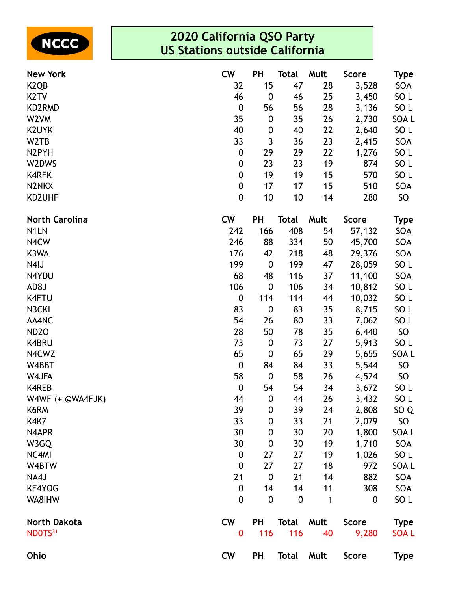

| <b>New York</b>       | <b>CW</b>        | <b>PH</b>        | Total        | Mult | <b>Score</b> | Type             |
|-----------------------|------------------|------------------|--------------|------|--------------|------------------|
| K <sub>2Q</sub> B     | 32               | 15               | 47           | 28   | 3,528        | SOA              |
| K <sub>2</sub> TV     | 46               | $\boldsymbol{0}$ | 46           | 25   | 3,450        | SO <sub>L</sub>  |
| KD2RMD                | $\boldsymbol{0}$ | 56               | 56           | 28   | 3,136        | SO L             |
| W <sub>2</sub> VM     | 35               | $\boldsymbol{0}$ | 35           | 26   | 2,730        | SOA L            |
| <b>K2UYK</b>          | 40               | $\boldsymbol{0}$ | 40           | 22   | 2,640        | SO <sub>L</sub>  |
| W <sub>2</sub> TB     | 33               | 3                | 36           | 23   | 2,415        | SOA              |
| N2PYH                 | $\pmb{0}$        | 29               | 29           | 22   | 1,276        | SO <sub>L</sub>  |
| W2DWS                 | $\boldsymbol{0}$ | 23               | 23           | 19   | 874          | SO <sub>L</sub>  |
| <b>K4RFK</b>          | $\boldsymbol{0}$ | 19               | 19           | 15   | 570          | SO <sub>L</sub>  |
| N2NKX                 | 0                | 17               | 17           | 15   | 510          | SOA              |
| KD2UHF                | $\boldsymbol{0}$ | 10               | 10           | 14   | 280          | SO               |
| <b>North Carolina</b> | <b>CW</b>        | <b>PH</b>        | <b>Total</b> | Mult | <b>Score</b> | <b>Type</b>      |
| N <sub>1</sub> LN     | 242              | 166              | 408          | 54   | 57,132       | SOA              |
| N4CW                  | 246              | 88               | 334          | 50   | 45,700       | SOA              |
| K3WA                  | 176              | 42               | 218          | 48   | 29,376       | SOA              |
| N4IJ                  | 199              | $\boldsymbol{0}$ | 199          | 47   | 28,059       | SO <sub>L</sub>  |
| N4YDU                 | 68               | 48               | 116          | 37   | 11,100       | SOA              |
| AD8J                  | 106              | $\boldsymbol{0}$ | 106          | 34   | 10,812       | SO <sub>L</sub>  |
| <b>K4FTU</b>          | 0                | 114              | 114          | 44   | 10,032       | SO <sub>L</sub>  |
| N3CKI                 | 83               | $\boldsymbol{0}$ | 83           | 35   | 8,715        | SO L             |
| AA4NC                 | 54               | 26               | 80           | 33   | 7,062        | SO <sub>L</sub>  |
| <b>ND2O</b>           | 28               | 50               | 78           | 35   | 6,440        | SO               |
| K4BRU                 | 73               | $\boldsymbol{0}$ | 73           | 27   | 5,913        | SO <sub>L</sub>  |
| N4CWZ                 | 65               | $\boldsymbol{0}$ | 65           | 29   | 5,655        | SOA <sub>L</sub> |
| W4BBT                 | $\boldsymbol{0}$ | 84               | 84           | 33   | 5,544        | <b>SO</b>        |
| W4JFA                 | 58               | $\boldsymbol{0}$ | 58           | 26   | 4,524        | SO <sub>1</sub>  |
| <b>K4REB</b>          | $\boldsymbol{0}$ | 54               | 54           | 34   | 3,672        | SO <sub>L</sub>  |
| W4WF $(+$ @WA4FJK)    | 44               | $\boldsymbol{0}$ | 44           | 26   | 3,432        | SO <sub>L</sub>  |
| K6RM                  | 39               | $\boldsymbol{0}$ | 39           | 24   | 2,808        | SO <sub>Q</sub>  |
| K4KZ                  | 33               | $\boldsymbol{0}$ | 33           | 21   | 2,079        | SO               |
| N4APR                 | 30               | $\boldsymbol{0}$ | 30           | 20   | 1,800        | SOA L            |
| W3GQ                  | 30               | $\boldsymbol{0}$ | 30           | 19   | 1,710        | SOA              |
| NC4MI                 | $\boldsymbol{0}$ | 27               | 27           | 19   | 1,026        | SO <sub>L</sub>  |
| W4BTW                 | $\boldsymbol{0}$ | 27               | 27           | 18   | 972          | SOA L            |
| NA4J                  | 21               | $\boldsymbol{0}$ | 21           | 14   | 882          | SOA              |
| <b>KE4YOG</b>         | $\boldsymbol{0}$ | 14               | 14           | 11   | 308          | SOA              |
| WA8IHW                | 0                | $\mathbf 0$      | $\mathbf 0$  | 1    | 0            | SO <sub>L</sub>  |
| <b>North Dakota</b>   | <b>CW</b>        | <b>PH</b>        | <b>Total</b> | Mult | <b>Score</b> | <b>Type</b>      |
| NDOTS <sup>31</sup>   | $\bf{0}$         | 116              | 116          | 40   | 9,280        | <b>SOAL</b>      |
| Ohio                  | <b>CW</b>        | <b>PH</b>        | <b>Total</b> | Mult | Score        | <b>Type</b>      |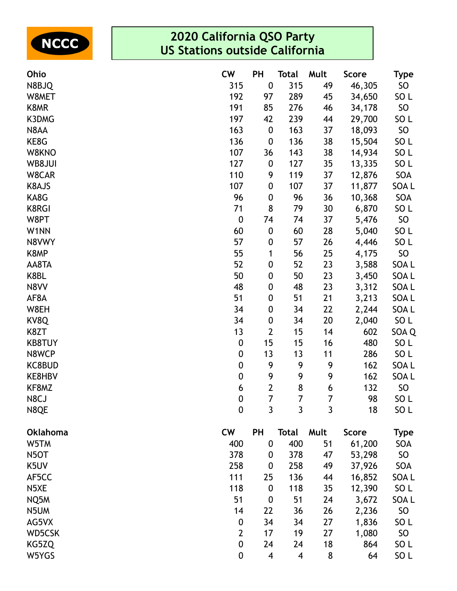

| Ohio              | <b>CW</b>        | <b>PH</b>        | <b>Total</b> | Mult | <b>Score</b> | <b>Type</b>     |
|-------------------|------------------|------------------|--------------|------|--------------|-----------------|
| N8BJQ             | 315              | $\pmb{0}$        | 315          | 49   | 46,305       | SO              |
| W8MET             | 192              | 97               | 289          | 45   | 34,650       | SO <sub>L</sub> |
| K8MR              | 191              | 85               | 276          | 46   | 34,178       | SO              |
| K3DMG             | 197              | 42               | 239          | 44   | 29,700       | SO <sub>L</sub> |
| N8AA              | 163              | $\boldsymbol{0}$ | 163          | 37   | 18,093       | SO              |
| KE8G              | 136              | $\pmb{0}$        | 136          | 38   | 15,504       | SO <sub>L</sub> |
| W8KNO             | 107              | 36               | 143          | 38   | 14,934       | SO <sub>L</sub> |
| WB8JUI            | 127              | $\boldsymbol{0}$ | 127          | 35   | 13,335       | SO <sub>L</sub> |
| W8CAR             | 110              | 9                | 119          | 37   | 12,876       | SOA             |
| K8AJS             | 107              | 0                | 107          | 37   | 11,877       | SOA L           |
| KA8G              | 96               | 0                | 96           | 36   | 10,368       | SOA             |
| <b>K8RGI</b>      | 71               | 8                | 79           | 30   | 6,870        | SO <sub>L</sub> |
| W8PT              | $\boldsymbol{0}$ | 74               | 74           | 37   | 5,476        | SO              |
| W1NN              | 60               | $\pmb{0}$        | 60           | 28   | 5,040        | SO <sub>L</sub> |
| N8VWY             | 57               | 0                | 57           | 26   | 4,446        | SO <sub>L</sub> |
| K8MP              | 55               | 1                | 56           | 25   | 4,175        | SO              |
| AA8TA             | 52               | 0                | 52           | 23   | 3,588        | SOA L           |
| K8BL              | 50               | $\pmb{0}$        | 50           | 23   | 3,450        | SOA L           |
| N8VV              | 48               | 0                | 48           | 23   | 3,312        | SOA L           |
| AF8A              | 51               | 0                | 51           | 21   | 3,213        | SOA L           |
| W8EH              | 34               | 0                | 34           | 22   | 2,244        | SOA L           |
| KV8Q              | 34               | $\boldsymbol{0}$ | 34           | 20   | 2,040        | SO <sub>L</sub> |
| K8ZT              | 13               | $\overline{2}$   | 15           | 14   | 602          | SOA Q           |
| <b>KB8TUY</b>     | $\boldsymbol{0}$ | 15               | 15           | 16   | 480          | SO L            |
| N8WCP             | $\boldsymbol{0}$ | 13               | 13           | 11   | 286          | SO <sub>L</sub> |
| KC8BUD            | $\boldsymbol{0}$ | 9                | 9            | 9    | 162          | SOA L           |
| KE8HBV            | $\boldsymbol{0}$ | 9                | 9            | 9    | 162          | SOA L           |
| KF8MZ             | 6                | $\overline{2}$   | $\bf 8$      | 6    | 132          | SO              |
| N8CJ              | $\mathbf 0$      | 7                | 7            | 7    | 98           | SO <sub>L</sub> |
| N8QE              | $\mathbf 0$      | 3                | 3            | 3    | 18           | SO L            |
| <b>Oklahoma</b>   | <b>CW</b>        | PH               | <b>Total</b> | Mult | <b>Score</b> | <b>Type</b>     |
| W5TM              | 400              | $\boldsymbol{0}$ | 400          | 51   | 61,200       | SOA             |
| N <sub>5</sub> OT | 378              | $\boldsymbol{0}$ | 378          | 47   | 53,298       | SO              |
| K5UV              | 258              | 0                | 258          | 49   | 37,926       | SOA             |
| AF5CC             | 111              | 25               | 136          | 44   | 16,852       | SOA L           |
| N5XE              | 118              | $\boldsymbol{0}$ | 118          | 35   | 12,390       | SO <sub>L</sub> |
| NQ5M              | 51               | $\boldsymbol{0}$ | 51           | 24   | 3,672        | SOA L           |
| N5UM              | 14               | 22               | 36           | 26   | 2,236        | SO              |
| AG5VX             | $\boldsymbol{0}$ | 34               | 34           | 27   | 1,836        | SO <sub>L</sub> |
| WD5CSK            | $\overline{2}$   | 17               | 19           | 27   | 1,080        | SO              |
| KG5ZQ             | $\boldsymbol{0}$ | 24               | 24           | 18   | 864          | SO L            |
| W5YGS             | $\boldsymbol{0}$ | 4                | 4            | 8    | 64           | SO <sub>L</sub> |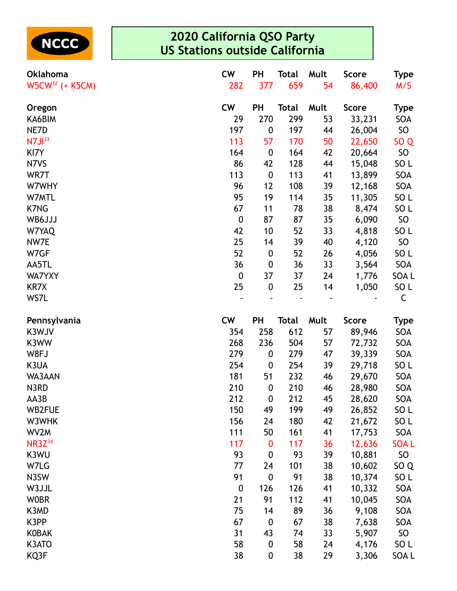

| Oklahoma             | <b>CW</b>        | PH               | Total        | Mult | <b>Score</b> | Type            |
|----------------------|------------------|------------------|--------------|------|--------------|-----------------|
| $W5CW^{32}$ (+ K5CM) | 282              | 377              | 659          | 54   | 86,400       | M/S             |
| Oregon               | <b>CW</b>        | PH               | <b>Total</b> | Mult | <b>Score</b> | <b>Type</b>     |
| KA6BIM               | 29               | 270              | 299          | 53   | 33,231       | SOA             |
| NE7D                 | 197              | $\boldsymbol{0}$ | 197          | 44   | 26,004       | SO              |
| N7J1 <sup>33</sup>   | 113              | 57               | 170          | 50   | 22,650       | SO <sub>Q</sub> |
| KI7Y                 | 164              | $\boldsymbol{0}$ | 164          | 42   | 20,664       | SO              |
| N7VS                 | 86               | 42               | 128          | 44   | 15,048       | SO <sub>L</sub> |
| WR7T                 | 113              | $\boldsymbol{0}$ | 113          | 41   | 13,899       | SOA             |
| W7WHY                | 96               | 12               | 108          | 39   | 12,168       | SOA             |
| W7MTL                | 95               | 19               | 114          | 35   | 11,305       | SO <sub>L</sub> |
| <b>K7NG</b>          | 67               | 11               | 78           | 38   | 8,474        | SO <sub>L</sub> |
| WB6JJJ               | $\boldsymbol{0}$ | 87               | 87           | 35   | 6,090        | SO              |
| W7YAQ                | 42               | 10               | 52           | 33   | 4,818        | SO <sub>L</sub> |
| NW7E                 | 25               | 14               | 39           | 40   | 4,120        | SO              |
| W7GF                 | 52               | $\boldsymbol{0}$ | 52           | 26   | 4,056        | SO <sub>L</sub> |
| AA5TL                | 36               | $\boldsymbol{0}$ | 36           | 33   | 3,564        | SOA             |
| <b>WA7YXY</b>        | $\boldsymbol{0}$ | 37               | 37           | 24   | 1,776        | SOA L           |
| KR7X                 | 25               | $\boldsymbol{0}$ | 25           | 14   | 1,050        | SO <sub>L</sub> |
| WS7L                 |                  |                  |              |      |              | C               |
| Pennsylvania         | <b>CW</b>        | PH               | <b>Total</b> | Mult | <b>Score</b> | <b>Type</b>     |
| K3WJV                | 354              | 258              | 612          | 57   | 89,946       | SOA             |
| K3WW                 | 268              | 236              | 504          | 57   | 72,732       | SOA             |
| W8FJ                 | 279              | 0                | 279          | 47   | 39,339       | SOA             |
| K3UA                 | 254              | $\boldsymbol{0}$ | 254          | 39   | 29,718       | SO <sub>L</sub> |
| WA3AAN               | 181              | 51               | 232          | 46   | 29,670       | SOA             |
| N3RD                 | 210              | $\boldsymbol{0}$ | 210          | 46   | 28,980       | SOA             |
| AA3B                 | 212              | $\boldsymbol{0}$ | 212          | 45   | 28,620       | SOA             |
| WB2FUE               | 150              | 49               | 199          | 49   | 26,852       | SO <sub>L</sub> |
| W3WHK                | 156              | 24               | 180          | 42   | 21,672       | SO <sub>L</sub> |
| WV2M                 | 111              | 50               | 161          | 41   | 17,753       | SOA             |
| <b>NR3Z</b> 34       | 117              | 0                | 117          | 36   | 12,636       | <b>SOAL</b>     |
| K3WU                 | 93               | 0                | 93           | 39   | 10,881       | SO              |
| W7LG                 | 77               | 24               | 101          | 38   | 10,602       | SO <sub>Q</sub> |
| N3SW                 | 91               | $\boldsymbol{0}$ | 91           | 38   | 10,374       | SO <sub>L</sub> |
| W3JJL                | $\boldsymbol{0}$ | 126              | 126          | 41   | 10,332       | SOA             |
| <b>WOBR</b>          | 21               | 91               | 112          | 41   | 10,045       | SOA             |
| K3MD                 | 75               | 14               | 89           | 36   | 9,108        | SOA             |
| K3PP                 | 67               | $\boldsymbol{0}$ | 67           | 38   | 7,638        | SOA             |
| <b>KOBAK</b>         | 31               | 43               | 74           | 33   | 5,907        | SO              |
| K3ATO                | 58               | $\boldsymbol{0}$ | 58           | 24   | 4,176        | SO <sub>L</sub> |
| KQ3F                 | 38               | 0                | 38           | 29   | 3,306        | SOA L           |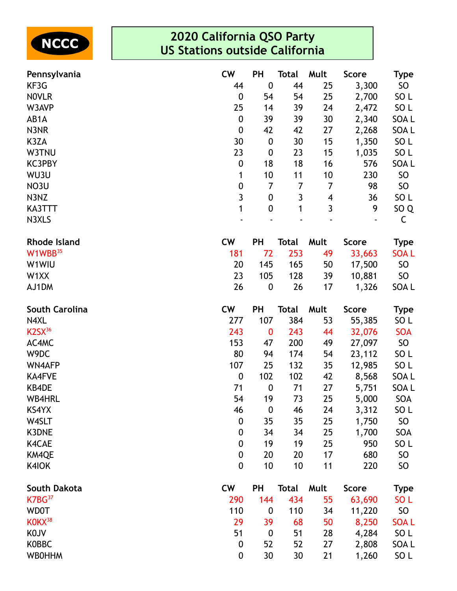

| Pennsylvania                    | <b>CW</b>        | PH               | <b>Total</b> | Mult | <b>Score</b> | <b>Type</b>     |
|---------------------------------|------------------|------------------|--------------|------|--------------|-----------------|
| KF3G                            | 44               | $\mathbf 0$      | 44           | 25   | 3,300        | SO              |
| <b>NOVLR</b>                    | $\boldsymbol{0}$ | 54               | 54           | 25   | 2,700        | SO <sub>L</sub> |
| W3AVP                           | 25               | 14               | 39           | 24   | 2,472        | SO <sub>L</sub> |
| AB1A                            | $\boldsymbol{0}$ | 39               | 39           | 30   | 2,340        | SOA L           |
| N3NR                            | $\boldsymbol{0}$ | 42               | 42           | 27   | 2,268        | SOA L           |
| K3ZA                            | 30               | $\boldsymbol{0}$ | 30           | 15   | 1,350        | SO <sub>L</sub> |
| W3TNU                           | 23               | $\boldsymbol{0}$ | 23           | 15   | 1,035        | SO <sub>L</sub> |
| <b>KC3PBY</b>                   | $\boldsymbol{0}$ | 18               | 18           | 16   | 576          | SOA L           |
| WU3U                            | 1                | 10               | 11           | 10   | 230          | SO              |
| NO3U                            | $\mathbf 0$      | 7                | 7            | 7    | 98           | SO              |
| N3NZ                            | $\overline{3}$   | $\pmb{0}$        | $\mathbf{3}$ | 4    | 36           | SO <sub>L</sub> |
| KA3TTT                          | 1                | $\pmb{0}$        | 1            | 3    | 9            | SO <sub>Q</sub> |
| N3XLS                           |                  |                  |              |      |              | C               |
| <b>Rhode Island</b>             | <b>CW</b>        | PH               | <b>Total</b> | Mult | <b>Score</b> | <b>Type</b>     |
| W1WBB <sup>35</sup>             | 181              | 72               | 253          | 49   | 33,663       | <b>SOAL</b>     |
| W1WIU                           | 20               | 145              | 165          | 50   | 17,500       | SO              |
| W1XX                            | 23               | 105              | 128          | 39   | 10,881       | SO <sub>1</sub> |
| AJ1DM                           | 26               | $\boldsymbol{0}$ | 26           | 17   | 1,326        | SOA L           |
| <b>South Carolina</b>           | <b>CW</b>        | PH               | <b>Total</b> | Mult | <b>Score</b> | <b>Type</b>     |
| N4XL                            | 277              | 107              | 384          | 53   | 55,385       | SO <sub>L</sub> |
| K <sub>2</sub> S <sub>x36</sub> | 243              | $\bf{0}$         | 243          | 44   | 32,076       | <b>SOA</b>      |
| AC4MC                           | 153              | 47               | 200          | 49   | 27,097       | SO              |
| W9DC                            | 80               | 94               | 174          | 54   | 23,112       | SO <sub>L</sub> |
| <b>WN4AFP</b>                   | 107              | 25               | 132          | 35   | 12,985       | SO <sub>L</sub> |
| <b>KA4FVE</b>                   | $\boldsymbol{0}$ | 102              | 102          | 42   | 8,568        | SOA L           |
| KB4DE                           | 71               | $\boldsymbol{0}$ | 71           | 27   | 5,751        | SOA L           |
| <b>WB4HRL</b>                   | 54               | 19               | 73           | 25   | 5,000        | SOA             |
| KS4YX                           | 46               | $\boldsymbol{0}$ | 46           | 24   | 3,312        | SO <sub>L</sub> |
| W4SLT                           | $\boldsymbol{0}$ | 35               | 35           | 25   | 1,750        | SO <sub>1</sub> |
| <b>K3DNE</b>                    | $\boldsymbol{0}$ | 34               | 34           | 25   | 1,700        | SOA             |
| K4CAE                           | $\mathbf 0$      | 19               | 19           | 25   | 950          | SO <sub>L</sub> |
| KM4QE                           | $\mathbf 0$      | 20               | 20           | 17   | 680          | <b>SO</b>       |
| K4IOK                           | $\mathbf 0$      | 10               | 10           | 11   | 220          | <b>SO</b>       |
| South Dakota                    | <b>CW</b>        | <b>PH</b>        | <b>Total</b> | Mult | <b>Score</b> | <b>Type</b>     |
| K7BG <sup>37</sup>              | 290              | 144              | 434          | 55   | 63,690       | SO <sub>L</sub> |
| <b>WDOT</b>                     | 110              | $\boldsymbol{0}$ | 110          | 34   | 11,220       | SO              |
| KOKX <sup>38</sup>              | 29               | 39               | 68           | 50   | 8,250        | <b>SOAL</b>     |
| <b>KOJV</b>                     | 51               | $\boldsymbol{0}$ | 51           | 28   | 4,284        | SO L            |
| <b>KOBBC</b>                    | 0                | 52               | 52           | 27   | 2,808        | SOA L           |
| <b>WBOHHM</b>                   | $\boldsymbol{0}$ | 30               | 30           | 21   | 1,260        | SO L            |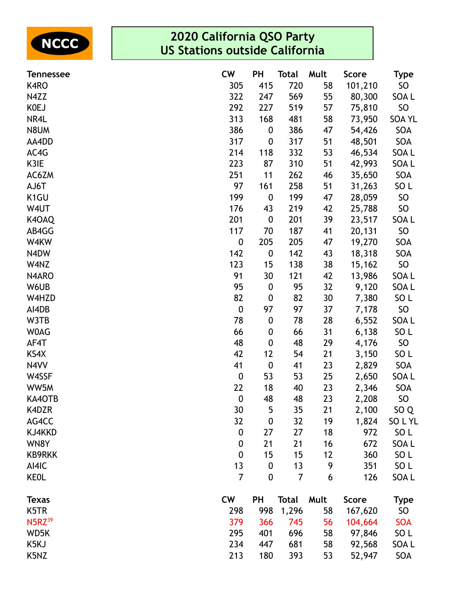

| <b>Tennessee</b>   | <b>CW</b>        | <b>PH</b>        | Total        | Mult | <b>Score</b> | <b>Type</b>     |
|--------------------|------------------|------------------|--------------|------|--------------|-----------------|
| K4RO               | 305              | 415              | 720          | 58   | 101,210      | SO              |
| N4ZZ               | 322              | 247              | 569          | 55   | 80,300       | SOA L           |
| <b>KOEJ</b>        | 292              | 227              | 519          | 57   | 75,810       | SO              |
| NR4L               | 313              | 168              | 481          | 58   | 73,950       | <b>SOA YL</b>   |
| N8UM               | 386              | 0                | 386          | 47   | 54,426       | SOA             |
| AA4DD              | 317              | $\boldsymbol{0}$ | 317          | 51   | 48,501       | SOA             |
| AC4G               | 214              | 118              | 332          | 53   | 46,534       | SOA L           |
| K3IE               | 223              | 87               | 310          | 51   | 42,993       | SOA L           |
| AC6ZM              | 251              | 11               | 262          | 46   | 35,650       | SOA             |
| AJ6T               | 97               | 161              | 258          | 51   | 31,263       | SO <sub>L</sub> |
| K <sub>1</sub> GU  | 199              | $\boldsymbol{0}$ | 199          | 47   | 28,059       | <b>SO</b>       |
| W4UT               | 176              | 43               | 219          | 42   | 25,788       | SO              |
| K4OAQ              | 201              | $\boldsymbol{0}$ | 201          | 39   | 23,517       | SOA L           |
| AB4GG              | 117              | 70               | 187          | 41   | 20,131       | SO              |
| W4KW               | $\boldsymbol{0}$ | 205              | 205          | 47   | 19,270       | SOA             |
| N4DW               | 142              | $\boldsymbol{0}$ | 142          | 43   | 18,318       | SOA             |
| W4NZ               | 123              | 15               | 138          | 38   | 15,162       | SO              |
| N4ARO              | 91               | 30               | 121          | 42   | 13,986       | SOA L           |
| W6UB               | 95               | $\boldsymbol{0}$ | 95           | 32   | 9,120        | SOA L           |
| W4HZD              | 82               | 0                | 82           | 30   | 7,380        | SO <sub>L</sub> |
| AI4DB              | $\boldsymbol{0}$ | 97               | 97           | 37   | 7,178        | SO              |
| W3TB               | 78               | $\boldsymbol{0}$ | 78           | 28   | 6,552        | SOA L           |
| <b>WOAG</b>        | 66               | 0                | 66           | 31   | 6,138        | SO <sub>L</sub> |
| AF4T               | 48               | 0                | 48           | 29   | 4,176        | SO              |
| KS4X               | 42               | 12               | 54           | 21   | 3,150        | SO <sub>L</sub> |
| N4VV               | 41               | $\boldsymbol{0}$ | 41           | 23   | 2,829        | SOA             |
| W4SSF              | $\boldsymbol{0}$ | 53               | 53           | 25   | 2,650        | SOA L           |
| WW5M               | 22               | 18               | 40           | 23   | 2,346        | SOA             |
| KA4OTB             | $\boldsymbol{0}$ | 48               | 48           | 23   | 2,208        | <b>SO</b>       |
| K4DZR              | 30               | 5                | 35           | 21   | 2,100        | SO <sub>Q</sub> |
| AG4CC              | 32               | $\boldsymbol{0}$ | 32           | 19   | 1,824        | SOLYL           |
| KJ4KKD             | $\boldsymbol{0}$ | 27               | 27           | 18   | 972          | SO L            |
| WN8Y               | $\boldsymbol{0}$ | 21               | 21           | 16   | 672          | SOA L           |
| <b>KB9RKK</b>      | $\boldsymbol{0}$ | 15               | 15           | 12   | 360          | SO <sub>L</sub> |
| AI4IC              | 13               | $\boldsymbol{0}$ | 13           | 9    | 351          | SO <sub>L</sub> |
| <b>KEOL</b>        | $\overline{7}$   | $\boldsymbol{0}$ | 7            | 6    | 126          | SOA L           |
| <b>Texas</b>       | <b>CW</b>        | <b>PH</b>        | <b>Total</b> | Mult | <b>Score</b> | <b>Type</b>     |
| K5TR               | 298              | 998              | 1,296        | 58   | 167,620      | <b>SO</b>       |
| N5RZ <sup>39</sup> | 379              | 366              | 745          | 56   | 104,664      | <b>SOA</b>      |
| WD5K               | 295              | 401              | 696          | 58   | 97,846       | SO <sub>L</sub> |
| K5KJ               | 234              | 447              | 681          | 58   | 92,568       | SOA L           |
| K5NZ               | 213              | 180              | 393          | 53   | 52,947       | SOA             |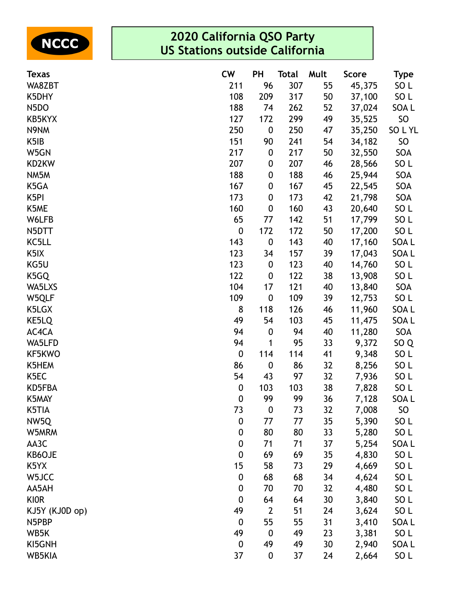

| <b>Texas</b>      | <b>CW</b>        | <b>PH</b>        | <b>Total</b> | Mult | <b>Score</b> | <b>Type</b>     |
|-------------------|------------------|------------------|--------------|------|--------------|-----------------|
| WA8ZBT            | 211              | 96               | 307          | 55   | 45,375       | SO <sub>L</sub> |
| K5DHY             | 108              | 209              | 317          | 50   | 37,100       | SO <sub>L</sub> |
| N5DO              | 188              | 74               | 262          | 52   | 37,024       | SOA L           |
| KB5KYX            | 127              | 172              | 299          | 49   | 35,525       | SO              |
| N9NM              | 250              | $\boldsymbol{0}$ | 250          | 47   | 35,250       | SOLYL           |
| K5IB              | 151              | 90               | 241          | 54   | 34,182       | <b>SO</b>       |
| W5GN              | 217              | 0                | 217          | 50   | 32,550       | SOA             |
| KD2KW             | 207              | 0                | 207          | 46   | 28,566       | SO <sub>L</sub> |
| NM5M              | 188              | 0                | 188          | 46   | 25,944       | SOA             |
| K5GA              | 167              | 0                | 167          | 45   | 22,545       | SOA             |
| K <sub>5</sub> PI | 173              | 0                | 173          | 42   | 21,798       | SOA             |
| K5ME              | 160              | 0                | 160          | 43   | 20,640       | SO <sub>L</sub> |
| W6LFB             | 65               | 77               | 142          | 51   | 17,799       | SO <sub>L</sub> |
| N5DTT             | $\boldsymbol{0}$ | 172              | 172          | 50   | 17,200       | SO <sub>L</sub> |
| KC5LL             | 143              | 0                | 143          | 40   | 17,160       | SOA L           |
| K <sub>5</sub> IX | 123              | 34               | 157          | 39   | 17,043       | SOA L           |
| KG5U              | 123              | 0                | 123          | 40   | 14,760       | SO <sub>L</sub> |
| K5GQ              | 122              | 0                | 122          | 38   | 13,908       | SO <sub>L</sub> |
| WA5LXS            | 104              | 17               | 121          | 40   | 13,840       | SOA             |
| W5QLF             | 109              | $\boldsymbol{0}$ | 109          | 39   | 12,753       | SO <sub>L</sub> |
| K5LGX             | 8                | 118              | 126          | 46   | 11,960       | SOA L           |
| KE5LQ             | 49               | 54               | 103          | 45   | 11,475       | SOA L           |
| AC4CA             | 94               | 0                | 94           | 40   | 11,280       | SOA             |
| WA5LFD            | 94               | 1                | 95           | 33   | 9,372        | SO <sub>Q</sub> |
| KF5KWO            | $\boldsymbol{0}$ | 114              | 114          | 41   | 9,348        | SO <sub>L</sub> |
| K5HEM             | 86               | $\boldsymbol{0}$ | 86           | 32   | 8,256        | SO <sub>L</sub> |
| K <sub>5</sub> EC | 54               | 43               | 97           | 32   | 7,936        | SO <sub>L</sub> |
| KD5FBA            | $\boldsymbol{0}$ | 103              | 103          | 38   | 7,828        | SO <sub>L</sub> |
| K5MAY             | $\boldsymbol{0}$ | 99               | 99           | 36   | 7,128        | SOA L           |
| K5TIA             | 73               | $\boldsymbol{0}$ | 73           | 32   | 7,008        | <b>SO</b>       |
| NW5Q              | $\boldsymbol{0}$ | 77               | 77           | 35   | 5,390        | SO <sub>L</sub> |
| W5MRM             | $\boldsymbol{0}$ | 80               | 80           | 33   | 5,280        | SO <sub>L</sub> |
| AA3C              | $\boldsymbol{0}$ | 71               | 71           | 37   | 5,254        | SOA L           |
| KB6OJE            | $\boldsymbol{0}$ | 69               | 69           | 35   | 4,830        | SO <sub>L</sub> |
| K5YX              | 15               | 58               | 73           | 29   | 4,669        | SO <sub>L</sub> |
| W5JCC             | $\boldsymbol{0}$ | 68               | 68           | 34   | 4,624        | SO <sub>L</sub> |
| AA5AH             | $\boldsymbol{0}$ | 70               | 70           | 32   | 4,480        | SO <sub>L</sub> |
| <b>KIOR</b>       | $\boldsymbol{0}$ | 64               | 64           | 30   | 3,840        | SO <sub>L</sub> |
| KJ5Y (KJ0D op)    | 49               | $\overline{2}$   | 51           | 24   | 3,624        | SO <sub>L</sub> |
| N5PBP             | $\boldsymbol{0}$ | 55               | 55           | 31   | 3,410        | SOA L           |
| WB5K              | 49               | $\boldsymbol{0}$ | 49           | 23   | 3,381        | SO <sub>L</sub> |
| KI5GNH            | $\boldsymbol{0}$ | 49               | 49           | 30   | 2,940        | SOA L           |
| WB5KIA            | 37               | $\boldsymbol{0}$ | 37           | 24   | 2,664        | SO <sub>L</sub> |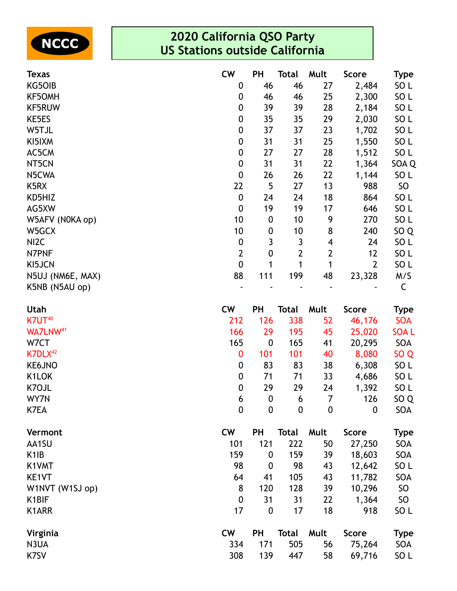

| <b>Texas</b>         | <b>CW</b>        | <b>PH</b>        | <b>Total</b>     | Mult             | <b>Score</b>   | Type            |
|----------------------|------------------|------------------|------------------|------------------|----------------|-----------------|
| KG50IB               | 0                | 46               | 46               | 27               | 2,484          | SO <sub>L</sub> |
| <b>KF5OMH</b>        | 0                | 46               | 46               | 25               | 2,300          | SO <sub>L</sub> |
| <b>KF5RUW</b>        | 0                | 39               | 39               | 28               | 2,184          | SO <sub>L</sub> |
| KE5ES                | 0                | 35               | 35               | 29               | 2,030          | SO <sub>L</sub> |
| W5TJL                | $\pmb{0}$        | 37               | 37               | 23               | 1,702          | SO <sub>L</sub> |
| KI5IXM               | 0                | 31               | 31               | 25               | 1,550          | SO <sub>L</sub> |
| AC5CM                | 0                | 27               | 27               | 28               | 1,512          | SO <sub>L</sub> |
| NT5CN                | $\pmb{0}$        | 31               | 31               | 22               | 1,364          | SOA Q           |
| N5CWA                | $\pmb{0}$        | 26               | 26               | 22               | 1,144          | SO <sub>L</sub> |
| K5RX                 | 22               | 5                | 27               | 13               | 988            | SO              |
| KD5HIZ               | $\pmb{0}$        | 24               | 24               | 18               | 864            | SO <sub>L</sub> |
| AG5XW                | $\boldsymbol{0}$ | 19               | 19               | 17               | 646            | SO <sub>L</sub> |
| W5AFV (N0KA op)      | 10               | $\boldsymbol{0}$ | 10               | 9                | 270            | SO <sub>L</sub> |
| W5GCX                | 10               | 0                | 10               | 8                | 240            | SO <sub>Q</sub> |
| NI <sub>2</sub> C    | $\pmb{0}$        | 3                | 3                | 4                | 24             | SO <sub>L</sub> |
| N7PNF                | $\mathbf{2}$     | $\pmb{0}$        | $\overline{2}$   | $\mathbf{2}$     | 12             | SO <sub>L</sub> |
| KI5JCN               | $\overline{0}$   | 1                | 1                | 1                | $\overline{2}$ | SO <sub>L</sub> |
| N5UJ (NM6E, MAX)     | 88               | 111              | 199              | 48               | 23,328         | M/S             |
| K5NB (N5AU op)       |                  |                  |                  |                  |                | C               |
| Utah                 | <b>CW</b>        | PH               | <b>Total</b>     | Mult             | <b>Score</b>   | <b>Type</b>     |
| K7UT <sup>40</sup>   | 212              | 126              | 338              | 52               | 46,176         | <b>SOA</b>      |
| WA7LNW <sup>41</sup> | 166              | 29               | 195              | 45               | 25,020         | <b>SOAL</b>     |
| W7CT                 | 165              | $\boldsymbol{0}$ | 165              | 41               | 20,295         | SOA             |
| K7DLX <sup>42</sup>  | $\bf{0}$         | 101              | 101              | 40               | 8,080          | SO <sub>Q</sub> |
| KE6JNO               | 0                | 83               | 83               | 38               | 6,308          | SO <sub>L</sub> |
| K1LOK                | 0                | 71               | 71               | 33               | 4,686          | SO <sub>L</sub> |
| K7OJL                | $\boldsymbol{0}$ | 29               | 29               | 24               | 1,392          | SO <sub>L</sub> |
| WY7N                 | 6                | $\boldsymbol{0}$ | 6                | 7                | 126            | SO <sub>Q</sub> |
| K7EA                 | $\boldsymbol{0}$ | $\boldsymbol{0}$ | $\boldsymbol{0}$ | $\boldsymbol{0}$ | 0              | SOA             |
| Vermont              | <b>CW</b>        | <b>PH</b>        | <b>Total</b>     | Mult             | <b>Score</b>   | <b>Type</b>     |
| AA1SU                | 101              | 121              | 222              | 50               | 27,250         | SOA             |
| K <sub>1</sub> IB    | 159              | $\mathbf 0$      | 159              | 39               | 18,603         | SOA             |
| K1VMT                | 98               | $\mathbf 0$      | 98               | 43               | 12,642         | SO <sub>L</sub> |
| KE1VT                | 64               | 41               | 105              | 43               | 11,782         | SOA             |
| W1NVT (W1SJ op)      | 8                | 120              | 128              | 39               | 10,296         | SO              |
| K <sub>1</sub> BIF   | 0                | 31               | 31               | 22               | 1,364          | SO              |
| K1ARR                | 17               | $\boldsymbol{0}$ | 17               | 18               | 918            | SO <sub>L</sub> |
| Virginia             | <b>CW</b>        | <b>PH</b>        | <b>Total</b>     | Mult             | <b>Score</b>   | <b>Type</b>     |
| N3UA                 | 334              | 171              | 505              | 56               | 75,264         | SOA             |
| K7SV                 | 308              | 139              | 447              | 58               | 69,716         | SO <sub>L</sub> |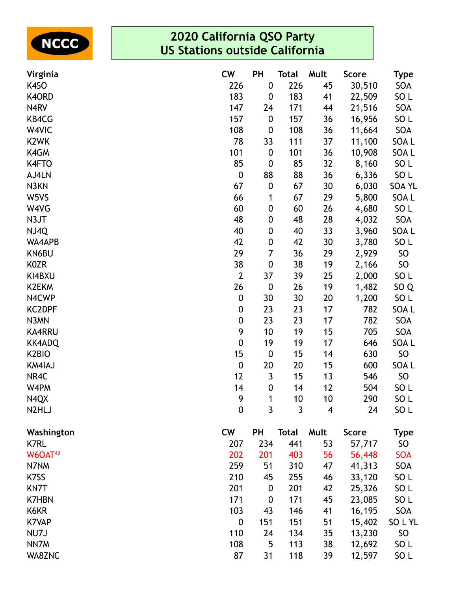

| Virginia            | <b>CW</b>        | PH               | <b>Total</b> | Mult | <b>Score</b> | <b>Type</b>     |
|---------------------|------------------|------------------|--------------|------|--------------|-----------------|
| K4SO                | 226              | $\boldsymbol{0}$ | 226          | 45   | 30,510       | SOA             |
| K4ORD               | 183              | 0                | 183          | 41   | 22,509       | SO <sub>L</sub> |
| N4RV                | 147              | 24               | 171          | 44   | 21,516       | SOA             |
| KB4CG               | 157              | $\boldsymbol{0}$ | 157          | 36   | 16,956       | SO <sub>L</sub> |
| W4VIC               | 108              | 0                | 108          | 36   | 11,664       | SOA             |
| K <sub>2</sub> WK   | 78               | 33               | 111          | 37   | 11,100       | SOA L           |
| K4GM                | 101              | $\boldsymbol{0}$ | 101          | 36   | 10,908       | SOA L           |
| K4FTO               | 85               | $\boldsymbol{0}$ | 85           | 32   | 8,160        | SO <sub>L</sub> |
| AJ4LN               | $\boldsymbol{0}$ | 88               | 88           | 36   | 6,336        | SO <sub>L</sub> |
| N3KN                | 67               | $\boldsymbol{0}$ | 67           | 30   | 6,030        | <b>SOA YL</b>   |
| W5VS                | 66               | 1                | 67           | 29   | 5,800        | SOA L           |
| W4VG                | 60               | $\boldsymbol{0}$ | 60           | 26   | 4,680        | SO <sub>L</sub> |
| N3JT                | 48               | 0                | 48           | 28   | 4,032        | SOA             |
| NJ4Q                | 40               | 0                | 40           | 33   | 3,960        | SOA L           |
| WA4APB              | 42               | 0                | 42           | 30   | 3,780        | SO <sub>L</sub> |
| KN6BU               | 29               | 7                | 36           | 29   | 2,929        | <b>SO</b>       |
| K0ZR                | 38               | $\boldsymbol{0}$ | 38           | 19   | 2,166        | <b>SO</b>       |
| KI4BXU              | $\overline{2}$   | 37               | 39           | 25   | 2,000        | SO <sub>L</sub> |
| K2EKM               | 26               | $\boldsymbol{0}$ | 26           | 19   | 1,482        | SO <sub>Q</sub> |
| N4CWP               | $\boldsymbol{0}$ | 30               | 30           | 20   | 1,200        | SO <sub>L</sub> |
| <b>KC2DPF</b>       | $\boldsymbol{0}$ | 23               | 23           | 17   | 782          | SOA L           |
| N3MN                | 0                | 23               | 23           | 17   | 782          | SOA             |
| <b>KA4RRU</b>       | 9                | 10               | 19           | 15   | 705          | SOA             |
| <b>KK4ADQ</b>       | $\boldsymbol{0}$ | 19               | 19           | 17   | 646          | SOA L           |
| K <sub>2</sub> BIO  | 15               | $\boldsymbol{0}$ | 15           | 14   | 630          | <b>SO</b>       |
| KM4IAJ              | $\boldsymbol{0}$ | 20               | 20           | 15   | 600          | SOA L           |
| NR4C                | 12               | 3                | 15           | 13   | 546          | <b>SO</b>       |
| W4PM                | 14               | $\boldsymbol{0}$ | 14           | 12   | 504          | SO <sub>L</sub> |
| N4QX                | 9                | 1                | 10           | 10   | 290          | SO <sub>L</sub> |
| N2HLJ               | $\boldsymbol{0}$ | $\mathbf{3}$     | 3            | 4    | 24           | SO <sub>L</sub> |
| Washington          | <b>CW</b>        | <b>PH</b>        | <b>Total</b> | Mult | <b>Score</b> | <b>Type</b>     |
| <b>K7RL</b>         | 207              | 234              | 441          | 53   | 57,717       | SO              |
| W6OAT <sup>43</sup> | 202              | 201              | 403          | 56   | 56,448       | <b>SOA</b>      |
| N7NM                | 259              | 51               | 310          | 47   | 41,313       | SOA             |
| K7SS                | 210              | 45               | 255          | 46   | 33,120       | SO <sub>L</sub> |
| KN7T                | 201              | $\boldsymbol{0}$ | 201          | 42   | 25,326       | SO <sub>L</sub> |
| <b>K7HBN</b>        | 171              | $\boldsymbol{0}$ | 171          | 45   | 23,085       | SO <sub>L</sub> |
| K6KR                | 103              | 43               | 146          | 41   | 16,195       | SOA             |
| <b>K7VAP</b>        | $\boldsymbol{0}$ | 151              | 151          | 51   | 15,402       | SOLYL           |
| NU7J                | 110              | 24               | 134          | 35   | 13,230       | <b>SO</b>       |
| NN7M                | 108              | 5                | 113          | 38   | 12,692       | SO <sub>L</sub> |
| WA8ZNC              | 87               | 31               | 118          | 39   | 12,597       | SO <sub>L</sub> |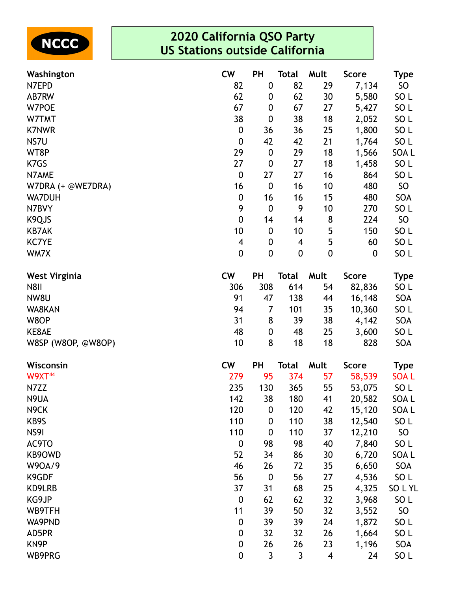

| Washington           | <b>CW</b>        | PH               | Total            | Mult                     | <b>Score</b>     | Type            |
|----------------------|------------------|------------------|------------------|--------------------------|------------------|-----------------|
| N7EPD                | 82               | $\boldsymbol{0}$ | 82               | 29                       | 7,134            | SO              |
| AB7RW                | 62               | 0                | 62               | 30                       | 5,580            | SO <sub>L</sub> |
| W7POE                | 67               | 0                | 67               | 27                       | 5,427            | SO <sub>L</sub> |
| W7TMT                | 38               | $\boldsymbol{0}$ | 38               | 18                       | 2,052            | SO <sub>L</sub> |
| <b>K7NWR</b>         | $\boldsymbol{0}$ | 36               | 36               | 25                       | 1,800            | SO <sub>L</sub> |
| NS7U                 | $\boldsymbol{0}$ | 42               | 42               | 21                       | 1,764            | SO <sub>L</sub> |
| WT8P                 | 29               | $\boldsymbol{0}$ | 29               | 18                       | 1,566            | SOA L           |
| K7GS                 | 27               | $\boldsymbol{0}$ | 27               | 18                       | 1,458            | SO <sub>L</sub> |
| N7AME                | $\boldsymbol{0}$ | 27               | 27               | 16                       | 864              | SO <sub>L</sub> |
| W7DRA (+ @WE7DRA)    | 16               | $\boldsymbol{0}$ | 16               | 10                       | 480              | SO              |
| <b>WA7DUH</b>        | $\boldsymbol{0}$ | 16               | 16               | 15                       | 480              | SOA             |
| N7BVY                | 9                | $\boldsymbol{0}$ | 9                | 10                       | 270              | SO <sub>L</sub> |
| K9QJS                | $\boldsymbol{0}$ | 14               | 14               | 8                        | 224              | SO              |
| <b>KB7AK</b>         | 10               | $\boldsymbol{0}$ | 10               | 5                        | 150              | SO <sub>L</sub> |
| <b>KC7YE</b>         | 4                | 0                | 4                | 5                        | 60               | SO <sub>L</sub> |
| WM7X                 | $\boldsymbol{0}$ | $\boldsymbol{0}$ | $\boldsymbol{0}$ | $\mathbf 0$              | $\boldsymbol{0}$ | SO <sub>L</sub> |
| <b>West Virginia</b> | <b>CW</b>        | PH               | <b>Total</b>     | Mult                     | <b>Score</b>     | <b>Type</b>     |
| <b>N8II</b>          | 306              | 308              | 614              | 54                       | 82,836           | SO <sub>L</sub> |
| NW8U                 | 91               | 47               | 138              | 44                       | 16,148           | SOA             |
| WA8KAN               | 94               | 7                | 101              | 35                       | 10,360           | SO <sub>L</sub> |
| W8OP                 | 31               | 8                | 39               | 38                       | 4,142            | SOA             |
| KE8AE                | 48               | 0                | 48               | 25                       | 3,600            | SO <sub>L</sub> |
| W8SP (W8OP, @W8OP)   | 10               | 8                | 18               | 18                       | 828              | SOA             |
| Wisconsin            | <b>CW</b>        | PH               | <b>Total</b>     | Mult                     | Score            | <b>Type</b>     |
| W9XT <sup>44</sup>   | 279              | 95               | 374              | 57                       | 58,539           | <b>SOAL</b>     |
| N7ZZ                 | 235              | 130              | 365              | 55                       | 53,075           | SO <sub>L</sub> |
| N9UA                 | 142              | 38               | 180              | 41                       | 20,582           | SOA L           |
| N <sub>9</sub> CK    | 120              | 0                | 120              | 42                       | 15,120           | SOA L           |
| KB9S                 | 110              | $\boldsymbol{0}$ | 110              | 38                       | 12,540           | SO <sub>L</sub> |
| NS9I                 | 110              | $\boldsymbol{0}$ | 110              | 37                       | 12,210           | SO              |
| AC9TO                | $\boldsymbol{0}$ | 98               | 98               | 40                       | 7,840            | SO <sub>L</sub> |
| KB9OWD               | 52               | 34               | 86               | 30                       | 6,720            | SOA L           |
| W90A/9               | 46               | 26               | 72               | 35                       | 6,650            | SOA             |
| K9GDF                | 56               | $\boldsymbol{0}$ | 56               | 27                       | 4,536            | SO <sub>L</sub> |
| KD9LRB               | 37               | 31               | 68               | 25                       | 4,325            | SOLYL           |
| KG9JP                | $\boldsymbol{0}$ | 62               | 62               | 32                       | 3,968            | SO <sub>L</sub> |
| WB9TFH               | 11               | 39               | 50               | 32                       | 3,552            | SO              |
| WA9PND               | $\boldsymbol{0}$ | 39               | 39               | 24                       | 1,872            | SO <sub>L</sub> |
| AD5PR                | $\boldsymbol{0}$ | 32               | 32               | 26                       | 1,664            | SO <sub>L</sub> |
| KN <sub>9</sub> P    | $\boldsymbol{0}$ | 26               | 26               | 23                       | 1,196            | SOA             |
| WB9PRG               | $\boldsymbol{0}$ | 3                | $\mathsf{3}$     | $\overline{\mathcal{A}}$ | 24               | SO <sub>L</sub> |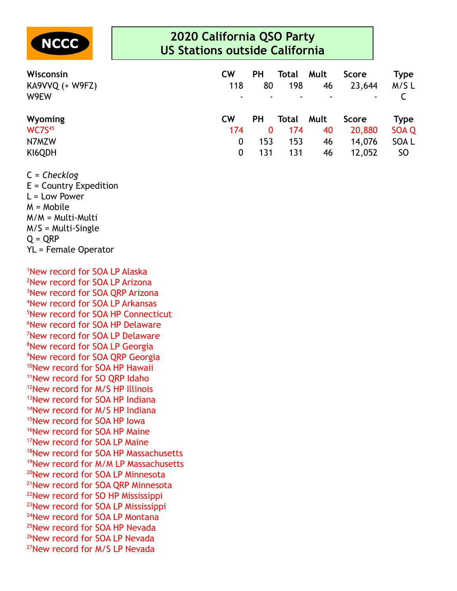

| Wisconsin<br>KA9VVQ (+ W9FZ)<br>W9EW | <b>CW</b><br>118<br>۰ | PH<br>80  | Total<br>198 | Mult<br>46<br>$\blacksquare$ | <b>Score</b><br>23,644<br>٠ | Type<br>M/SL |
|--------------------------------------|-----------------------|-----------|--------------|------------------------------|-----------------------------|--------------|
|                                      |                       |           |              |                              |                             |              |
| <b>Wyoming</b>                       | <b>CW</b>             | <b>PH</b> | Total        | Mult                         | Score                       | Type         |
| <b>WC7S45</b>                        | 174                   | 0         | 174          | 40                           | 20,880                      | <b>SOA Q</b> |
| N7MZW                                | 0                     | 153       | 153          | 46                           | 14,076                      | SOA L        |

C = *Checklog*

E = Country Expedition L = Low Power M = Mobile M/M = Multi-Multi M/S = Multi-Single  $Q = QRP$ YL = Female Operator

New record for SOA LP Alaska New record for SOA LP Arizona <sup>3</sup>New record for SOA ORP Arizona New record for SOA LP Arkansas New record for SOA HP Connecticut New record for SOA HP Delaware New record for SOA LP Delaware <sup>8</sup>New record for SOA LP Georgia New record for SOA QRP Georgia <sup>10</sup>New record for SOA HP Hawaii New record for SO QRP Idaho New record for M/S HP Illinois New record for SOA HP Indiana <sup>14</sup>New record for M/S HP Indiana New record for SOA HP Iowa <sup>16</sup>New record for SOA HP Maine New record for SOA LP Maine New record for SOA HP Massachusetts New record for M/M LP Massachusetts New record for SOA LP Minnesota New record for SOA QRP Minnesota <sup>22</sup>New record for SO HP Mississippi New record for SOA LP Mississippi New record for SOA LP Montana <sup>25</sup>New record for SOA HP Nevada <sup>26</sup>New record for SOA LP Nevada New record for M/S LP Nevada